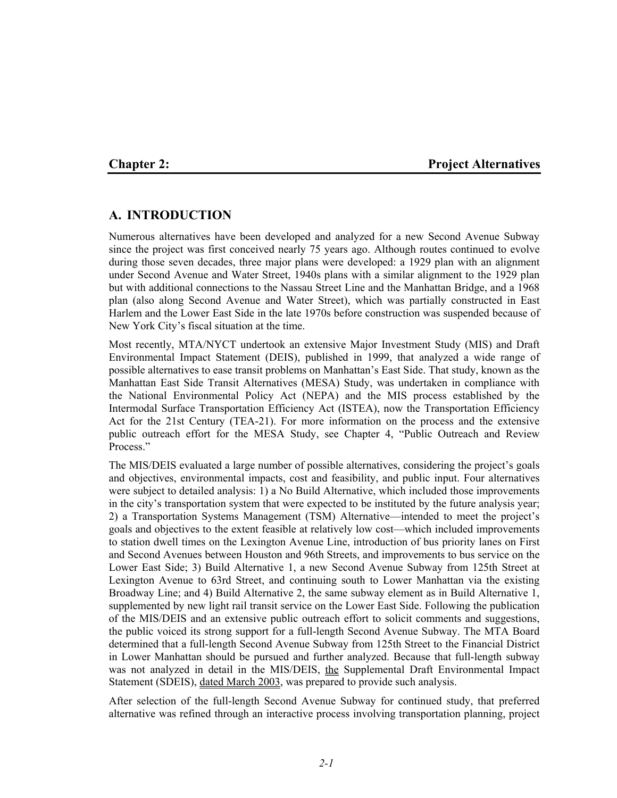#### **Chapter 2: Project Alternatives**

# **A. INTRODUCTION**

Numerous alternatives have been developed and analyzed for a new Second Avenue Subway since the project was first conceived nearly 75 years ago. Although routes continued to evolve during those seven decades, three major plans were developed: a 1929 plan with an alignment under Second Avenue and Water Street, 1940s plans with a similar alignment to the 1929 plan but with additional connections to the Nassau Street Line and the Manhattan Bridge, and a 1968 plan (also along Second Avenue and Water Street), which was partially constructed in East Harlem and the Lower East Side in the late 1970s before construction was suspended because of New York City's fiscal situation at the time.

Most recently, MTA/NYCT undertook an extensive Major Investment Study (MIS) and Draft Environmental Impact Statement (DEIS), published in 1999, that analyzed a wide range of possible alternatives to ease transit problems on Manhattan's East Side. That study, known as the Manhattan East Side Transit Alternatives (MESA) Study, was undertaken in compliance with the National Environmental Policy Act (NEPA) and the MIS process established by the Intermodal Surface Transportation Efficiency Act (ISTEA), now the Transportation Efficiency Act for the 21st Century (TEA-21). For more information on the process and the extensive public outreach effort for the MESA Study, see Chapter 4, "Public Outreach and Review Process."

The MIS/DEIS evaluated a large number of possible alternatives, considering the project's goals and objectives, environmental impacts, cost and feasibility, and public input. Four alternatives were subject to detailed analysis: 1) a No Build Alternative, which included those improvements in the city's transportation system that were expected to be instituted by the future analysis year; 2) a Transportation Systems Management (TSM) Alternative—intended to meet the project's goals and objectives to the extent feasible at relatively low cost—which included improvements to station dwell times on the Lexington Avenue Line, introduction of bus priority lanes on First and Second Avenues between Houston and 96th Streets, and improvements to bus service on the Lower East Side; 3) Build Alternative 1, a new Second Avenue Subway from 125th Street at Lexington Avenue to 63rd Street, and continuing south to Lower Manhattan via the existing Broadway Line; and 4) Build Alternative 2, the same subway element as in Build Alternative 1, supplemented by new light rail transit service on the Lower East Side. Following the publication of the MIS/DEIS and an extensive public outreach effort to solicit comments and suggestions, the public voiced its strong support for a full-length Second Avenue Subway. The MTA Board determined that a full-length Second Avenue Subway from 125th Street to the Financial District in Lower Manhattan should be pursued and further analyzed. Because that full-length subway was not analyzed in detail in the MIS/DEIS, the Supplemental Draft Environmental Impact Statement (SDEIS), dated March 2003, was prepared to provide such analysis.

After selection of the full-length Second Avenue Subway for continued study, that preferred alternative was refined through an interactive process involving transportation planning, project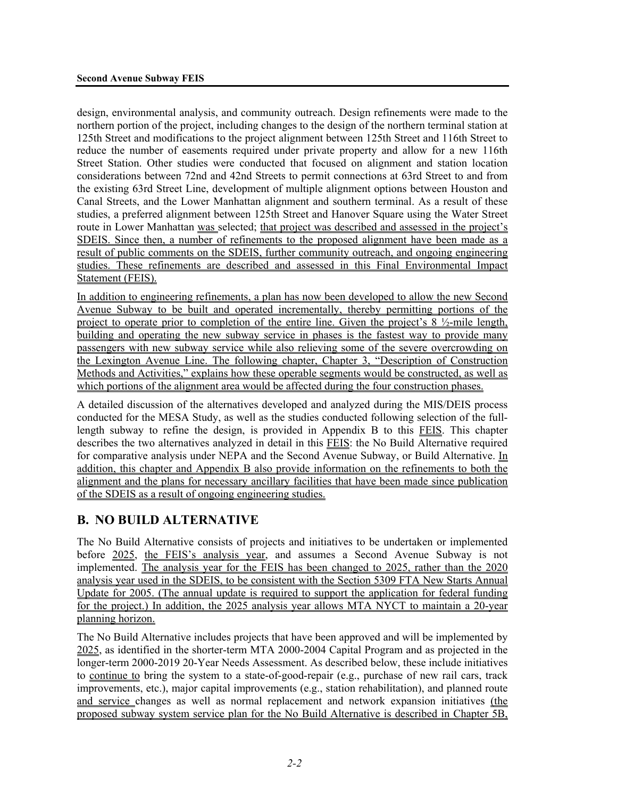design, environmental analysis, and community outreach. Design refinements were made to the northern portion of the project, including changes to the design of the northern terminal station at 125th Street and modifications to the project alignment between 125th Street and 116th Street to reduce the number of easements required under private property and allow for a new 116th Street Station. Other studies were conducted that focused on alignment and station location considerations between 72nd and 42nd Streets to permit connections at 63rd Street to and from the existing 63rd Street Line, development of multiple alignment options between Houston and Canal Streets, and the Lower Manhattan alignment and southern terminal. As a result of these studies, a preferred alignment between 125th Street and Hanover Square using the Water Street route in Lower Manhattan was selected; that project was described and assessed in the project's SDEIS. Since then, a number of refinements to the proposed alignment have been made as a result of public comments on the SDEIS, further community outreach, and ongoing engineering studies. These refinements are described and assessed in this Final Environmental Impact Statement (FEIS).

In addition to engineering refinements, a plan has now been developed to allow the new Second Avenue Subway to be built and operated incrementally, thereby permitting portions of the project to operate prior to completion of the entire line. Given the project's  $8 \frac{1}{2}$ -mile length, building and operating the new subway service in phases is the fastest way to provide many passengers with new subway service while also relieving some of the severe overcrowding on the Lexington Avenue Line. The following chapter, Chapter 3, "Description of Construction Methods and Activities," explains how these operable segments would be constructed, as well as which portions of the alignment area would be affected during the four construction phases.

A detailed discussion of the alternatives developed and analyzed during the MIS/DEIS process conducted for the MESA Study, as well as the studies conducted following selection of the fulllength subway to refine the design, is provided in Appendix B to this FEIS. This chapter describes the two alternatives analyzed in detail in this FEIS: the No Build Alternative required for comparative analysis under NEPA and the Second Avenue Subway, or Build Alternative. In addition, this chapter and Appendix B also provide information on the refinements to both the alignment and the plans for necessary ancillary facilities that have been made since publication of the SDEIS as a result of ongoing engineering studies.

# **B. NO BUILD ALTERNATIVE**

The No Build Alternative consists of projects and initiatives to be undertaken or implemented before 2025, the FEIS's analysis year, and assumes a Second Avenue Subway is not implemented. The analysis year for the FEIS has been changed to 2025, rather than the 2020 analysis year used in the SDEIS, to be consistent with the Section 5309 FTA New Starts Annual Update for 2005. (The annual update is required to support the application for federal funding for the project.) In addition, the 2025 analysis year allows MTA NYCT to maintain a 20-year planning horizon.

The No Build Alternative includes projects that have been approved and will be implemented by 2025, as identified in the shorter-term MTA 2000-2004 Capital Program and as projected in the longer-term 2000-2019 20-Year Needs Assessment. As described below, these include initiatives to continue to bring the system to a state-of-good-repair (e.g., purchase of new rail cars, track improvements, etc.), major capital improvements (e.g., station rehabilitation), and planned route and service changes as well as normal replacement and network expansion initiatives (the proposed subway system service plan for the No Build Alternative is described in Chapter 5B,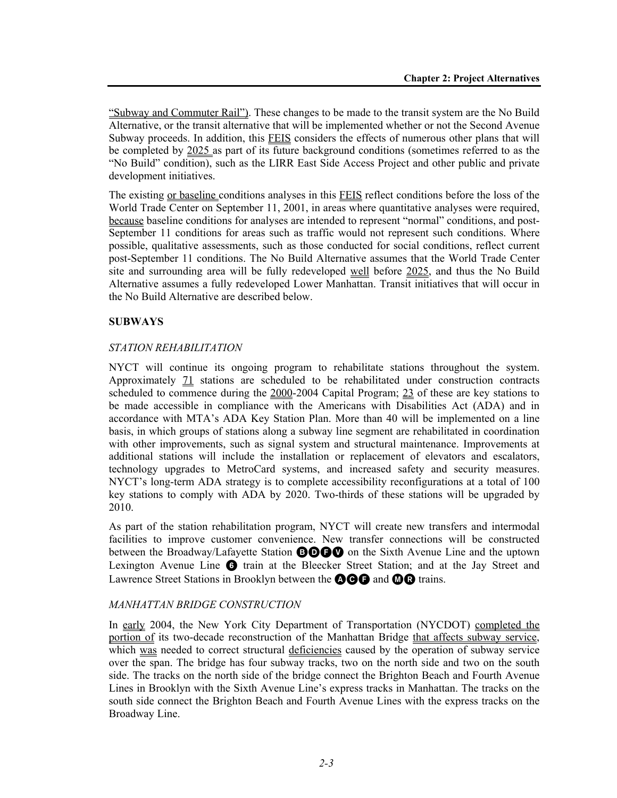"Subway and Commuter Rail"). These changes to be made to the transit system are the No Build Alternative, or the transit alternative that will be implemented whether or not the Second Avenue Subway proceeds. In addition, this FEIS considers the effects of numerous other plans that will be completed by 2025 as part of its future background conditions (sometimes referred to as the "No Build" condition), such as the LIRR East Side Access Project and other public and private development initiatives.

The existing <u>or baseline</u> conditions analyses in this FEIS reflect conditions before the loss of the World Trade Center on September 11, 2001, in areas where quantitative analyses were required, because baseline conditions for analyses are intended to represent "normal" conditions, and post-September 11 conditions for areas such as traffic would not represent such conditions. Where possible, qualitative assessments, such as those conducted for social conditions, reflect current post-September 11 conditions. The No Build Alternative assumes that the World Trade Center site and surrounding area will be fully redeveloped well before 2025, and thus the No Build Alternative assumes a fully redeveloped Lower Manhattan. Transit initiatives that will occur in the No Build Alternative are described below.

## **SUBWAYS**

#### *STATION REHABILITATION*

NYCT will continue its ongoing program to rehabilitate stations throughout the system. Approximately 71 stations are scheduled to be rehabilitated under construction contracts scheduled to commence during the 2000-2004 Capital Program; 23 of these are key stations to be made accessible in compliance with the Americans with Disabilities Act (ADA) and in accordance with MTA's ADA Key Station Plan. More than 40 will be implemented on a line basis, in which groups of stations along a subway line segment are rehabilitated in coordination with other improvements, such as signal system and structural maintenance. Improvements at additional stations will include the installation or replacement of elevators and escalators, technology upgrades to MetroCard systems, and increased safety and security measures. NYCT's long-term ADA strategy is to complete accessibility reconfigurations at a total of 100 key stations to comply with ADA by 2020. Two-thirds of these stations will be upgraded by 2010.

As part of the station rehabilitation program, NYCT will create new transfers and intermodal facilities to improve customer convenience. New transfer connections will be constructed between the Broadway/Lafayette Station **BOGO** on the Sixth Avenue Line and the uptown Lexington Avenue Line  $\odot$  train at the Bleecker Street Station; and at the Jay Street and Lawrence Street Stations in Brooklyn between the **AGG** and **MG** trains.

#### *MANHATTAN BRIDGE CONSTRUCTION*

In early 2004, the New York City Department of Transportation (NYCDOT) completed the portion of its two-decade reconstruction of the Manhattan Bridge that affects subway service, which was needed to correct structural deficiencies caused by the operation of subway service over the span. The bridge has four subway tracks, two on the north side and two on the south side. The tracks on the north side of the bridge connect the Brighton Beach and Fourth Avenue Lines in Brooklyn with the Sixth Avenue Line's express tracks in Manhattan. The tracks on the south side connect the Brighton Beach and Fourth Avenue Lines with the express tracks on the Broadway Line.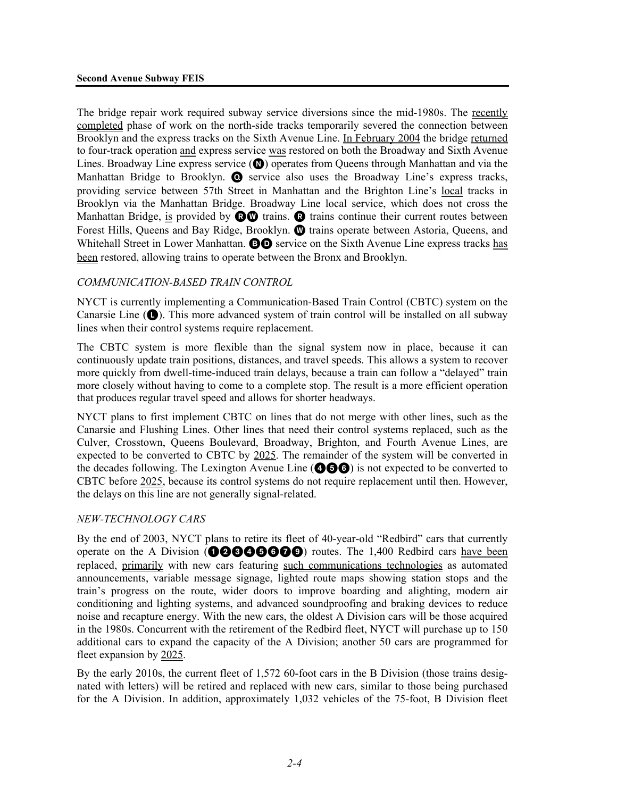The bridge repair work required subway service diversions since the mid-1980s. The recently completed phase of work on the north-side tracks temporarily severed the connection between Brooklyn and the express tracks on the Sixth Avenue Line. In February 2004 the bridge returned to four-track operation and express service was restored on both the Broadway and Sixth Avenue Lines. Broadway Line express service  $(\circled{e})$  operates from Queens through Manhattan and via the Manhattan Bridge to Brooklyn.  $\bullet$  service also uses the Broadway Line's express tracks, providing service between 57th Street in Manhattan and the Brighton Line's local tracks in Brooklyn via the Manhattan Bridge. Broadway Line local service, which does not cross the Manhattan Bridge, is provided by  $\mathbf{\odot} \mathbf{\odot}$  trains.  $\mathbf{\odot}$  trains continue their current routes between Forest Hills, Queens and Bay Ridge, Brooklyn. **@** trains operate between Astoria, Queens, and Whitehall Street in Lower Manhattan. **BO** service on the Sixth Avenue Line express tracks has been restored, allowing trains to operate between the Bronx and Brooklyn.

#### *COMMUNICATION-BASED TRAIN CONTROL*

NYCT is currently implementing a Communication-Based Train Control (CBTC) system on the Canarsie Line  $(\bullet)$ . This more advanced system of train control will be installed on all subway lines when their control systems require replacement.

The CBTC system is more flexible than the signal system now in place, because it can continuously update train positions, distances, and travel speeds. This allows a system to recover more quickly from dwell-time-induced train delays, because a train can follow a "delayed" train more closely without having to come to a complete stop. The result is a more efficient operation that produces regular travel speed and allows for shorter headways.

NYCT plans to first implement CBTC on lines that do not merge with other lines, such as the Canarsie and Flushing Lines. Other lines that need their control systems replaced, such as the Culver, Crosstown, Queens Boulevard, Broadway, Brighton, and Fourth Avenue Lines, are expected to be converted to CBTC by 2025. The remainder of the system will be converted in the decades following. The Lexington Avenue Line (**466**) is not expected to be converted to CBTC before 2025, because its control systems do not require replacement until then. However, the delays on this line are not generally signal-related.

#### *NEW-TECHNOLOGY CARS*

By the end of 2003, NYCT plans to retire its fleet of 40-year-old "Redbird" cars that currently operate on the A Division ( $000000$ ) routes. The 1,400 Redbird cars have been replaced, primarily with new cars featuring such communications technologies as automated announcements, variable message signage, lighted route maps showing station stops and the train's progress on the route, wider doors to improve boarding and alighting, modern air conditioning and lighting systems, and advanced soundproofing and braking devices to reduce noise and recapture energy. With the new cars, the oldest A Division cars will be those acquired in the 1980s. Concurrent with the retirement of the Redbird fleet, NYCT will purchase up to 150 additional cars to expand the capacity of the A Division; another 50 cars are programmed for fleet expansion by 2025.

By the early 2010s, the current fleet of 1,572 60-foot cars in the B Division (those trains designated with letters) will be retired and replaced with new cars, similar to those being purchased for the A Division. In addition, approximately 1,032 vehicles of the 75-foot, B Division fleet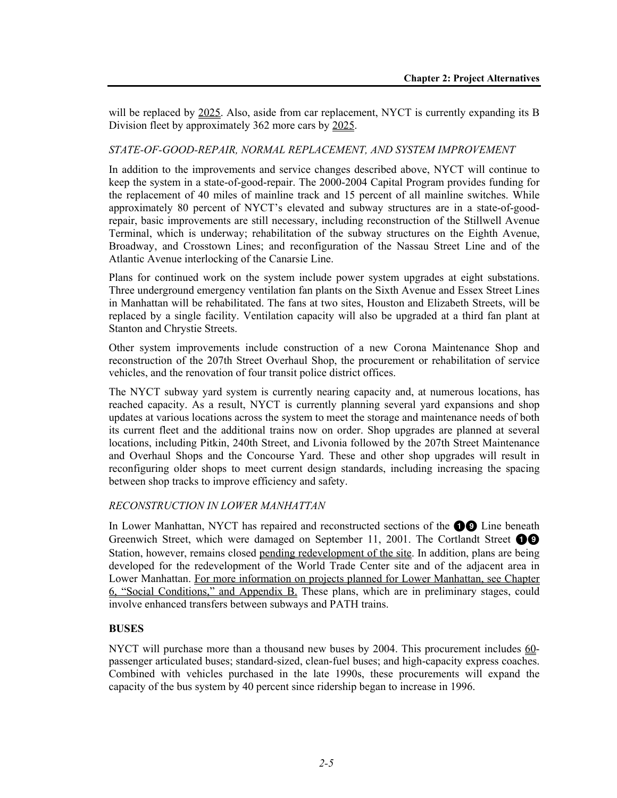will be replaced by 2025. Also, aside from car replacement, NYCT is currently expanding its B Division fleet by approximately 362 more cars by 2025.

#### *STATE-OF-GOOD-REPAIR, NORMAL REPLACEMENT, AND SYSTEM IMPROVEMENT*

In addition to the improvements and service changes described above, NYCT will continue to keep the system in a state-of-good-repair. The 2000-2004 Capital Program provides funding for the replacement of 40 miles of mainline track and 15 percent of all mainline switches. While approximately 80 percent of NYCT's elevated and subway structures are in a state-of-goodrepair, basic improvements are still necessary, including reconstruction of the Stillwell Avenue Terminal, which is underway; rehabilitation of the subway structures on the Eighth Avenue, Broadway, and Crosstown Lines; and reconfiguration of the Nassau Street Line and of the Atlantic Avenue interlocking of the Canarsie Line.

Plans for continued work on the system include power system upgrades at eight substations. Three underground emergency ventilation fan plants on the Sixth Avenue and Essex Street Lines in Manhattan will be rehabilitated. The fans at two sites, Houston and Elizabeth Streets, will be replaced by a single facility. Ventilation capacity will also be upgraded at a third fan plant at Stanton and Chrystie Streets.

Other system improvements include construction of a new Corona Maintenance Shop and reconstruction of the 207th Street Overhaul Shop, the procurement or rehabilitation of service vehicles, and the renovation of four transit police district offices.

The NYCT subway yard system is currently nearing capacity and, at numerous locations, has reached capacity. As a result, NYCT is currently planning several yard expansions and shop updates at various locations across the system to meet the storage and maintenance needs of both its current fleet and the additional trains now on order. Shop upgrades are planned at several locations, including Pitkin, 240th Street, and Livonia followed by the 207th Street Maintenance and Overhaul Shops and the Concourse Yard. These and other shop upgrades will result in reconfiguring older shops to meet current design standards, including increasing the spacing between shop tracks to improve efficiency and safety.

#### *RECONSTRUCTION IN LOWER MANHATTAN*

In Lower Manhattan, NYCT has repaired and reconstructed sections of the  $\bigcirc$  Line beneath Greenwich Street, which were damaged on September 11, 2001. The Cortlandt Street  $\bigcirc$ Station, however, remains closed pending redevelopment of the site. In addition, plans are being developed for the redevelopment of the World Trade Center site and of the adjacent area in Lower Manhattan. For more information on projects planned for Lower Manhattan, see Chapter 6, "Social Conditions," and Appendix B. These plans, which are in preliminary stages, could involve enhanced transfers between subways and PATH trains.

## **BUSES**

NYCT will purchase more than a thousand new buses by 2004. This procurement includes 60passenger articulated buses; standard-sized, clean-fuel buses; and high-capacity express coaches. Combined with vehicles purchased in the late 1990s, these procurements will expand the capacity of the bus system by 40 percent since ridership began to increase in 1996.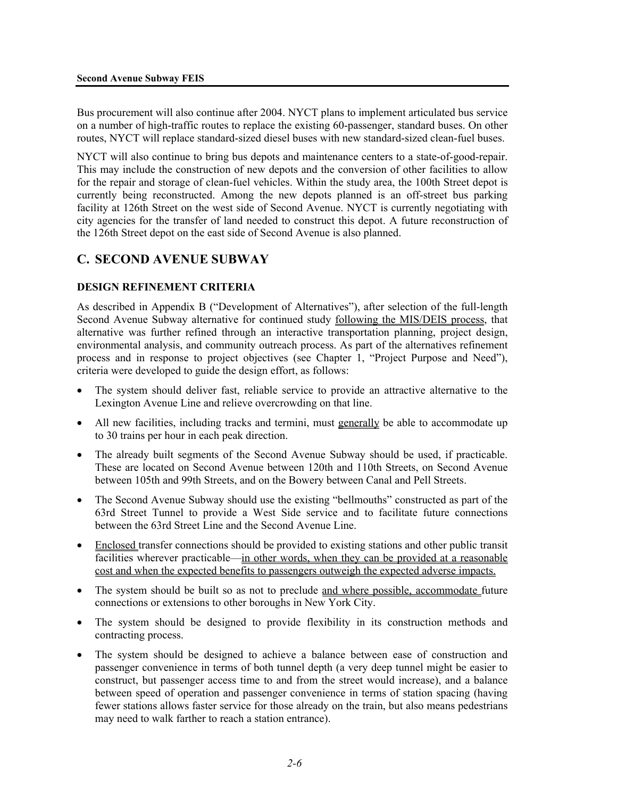Bus procurement will also continue after 2004. NYCT plans to implement articulated bus service on a number of high-traffic routes to replace the existing 60-passenger, standard buses. On other routes, NYCT will replace standard-sized diesel buses with new standard-sized clean-fuel buses.

NYCT will also continue to bring bus depots and maintenance centers to a state-of-good-repair. This may include the construction of new depots and the conversion of other facilities to allow for the repair and storage of clean-fuel vehicles. Within the study area, the 100th Street depot is currently being reconstructed. Among the new depots planned is an off-street bus parking facility at 126th Street on the west side of Second Avenue. NYCT is currently negotiating with city agencies for the transfer of land needed to construct this depot. A future reconstruction of the 126th Street depot on the east side of Second Avenue is also planned.

# **C. SECOND AVENUE SUBWAY**

#### **DESIGN REFINEMENT CRITERIA**

As described in Appendix B ("Development of Alternatives"), after selection of the full-length Second Avenue Subway alternative for continued study following the MIS/DEIS process, that alternative was further refined through an interactive transportation planning, project design, environmental analysis, and community outreach process. As part of the alternatives refinement process and in response to project objectives (see Chapter 1, "Project Purpose and Need"), criteria were developed to guide the design effort, as follows:

- The system should deliver fast, reliable service to provide an attractive alternative to the Lexington Avenue Line and relieve overcrowding on that line.
- All new facilities, including tracks and termini, must generally be able to accommodate up to 30 trains per hour in each peak direction.
- The already built segments of the Second Avenue Subway should be used, if practicable. These are located on Second Avenue between 120th and 110th Streets, on Second Avenue between 105th and 99th Streets, and on the Bowery between Canal and Pell Streets.
- The Second Avenue Subway should use the existing "bellmouths" constructed as part of the 63rd Street Tunnel to provide a West Side service and to facilitate future connections between the 63rd Street Line and the Second Avenue Line.
- Enclosed transfer connections should be provided to existing stations and other public transit facilities wherever practicable—in other words, when they can be provided at a reasonable cost and when the expected benefits to passengers outweigh the expected adverse impacts.
- The system should be built so as not to preclude and where possible, accommodate future connections or extensions to other boroughs in New York City.
- The system should be designed to provide flexibility in its construction methods and contracting process.
- The system should be designed to achieve a balance between ease of construction and passenger convenience in terms of both tunnel depth (a very deep tunnel might be easier to construct, but passenger access time to and from the street would increase), and a balance between speed of operation and passenger convenience in terms of station spacing (having fewer stations allows faster service for those already on the train, but also means pedestrians may need to walk farther to reach a station entrance).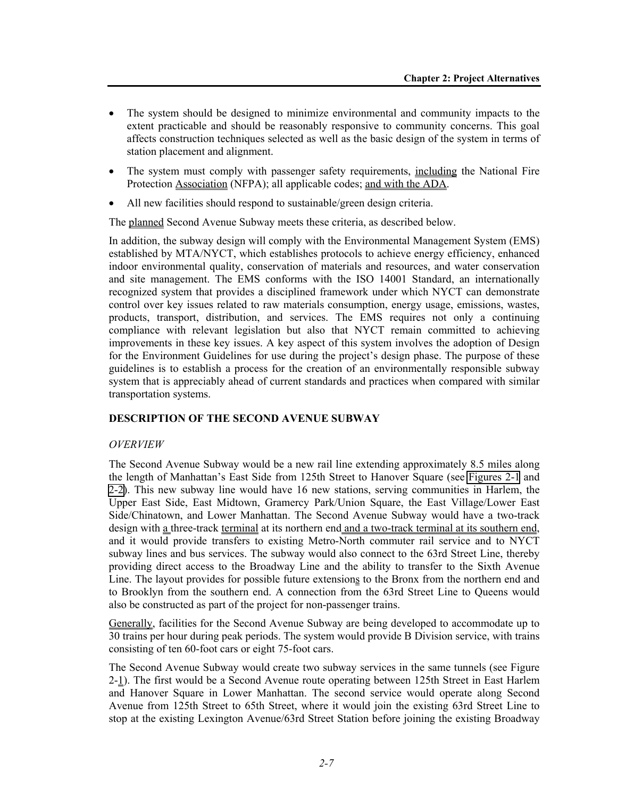- The system should be designed to minimize environmental and community impacts to the extent practicable and should be reasonably responsive to community concerns. This goal affects construction techniques selected as well as the basic design of the system in terms of station placement and alignment.
- The system must comply with passenger safety requirements, including the National Fire Protection Association (NFPA); all applicable codes; and with the ADA.
- All new facilities should respond to sustainable/green design criteria.

The planned Second Avenue Subway meets these criteria, as described below.

In addition, the subway design will comply with the Environmental Management System (EMS) established by MTA/NYCT, which establishes protocols to achieve energy efficiency, enhanced indoor environmental quality, conservation of materials and resources, and water conservation and site management. The EMS conforms with the ISO 14001 Standard, an internationally recognized system that provides a disciplined framework under which NYCT can demonstrate control over key issues related to raw materials consumption, energy usage, emissions, wastes, products, transport, distribution, and services. The EMS requires not only a continuing compliance with relevant legislation but also that NYCT remain committed to achieving improvements in these key issues. A key aspect of this system involves the adoption of Design for the Environment Guidelines for use during the project's design phase. The purpose of these guidelines is to establish a process for the creation of an environmentally responsible subway system that is appreciably ahead of current standards and practices when compared with similar transportation systems.

#### **DESCRIPTION OF THE SECOND AVENUE SUBWAY**

#### *OVERVIEW*

The Second Avenue Subway would be a new rail line extending approximately 8.5 miles along the length of Manhattan's East Side from 125th Street to Hanover Square (see Figures 2-1 and 2-2). This new subway line would have 16 new stations, serving communities in Harlem, the Upper East Side, East Midtown, Gramercy Park/Union Square, the East Village/Lower East Side/Chinatown, and Lower Manhattan. The Second Avenue Subway would have a two-track design with a three-track terminal at its northern end and a two-track terminal at its southern end, and it would provide transfers to existing Metro-North commuter rail service and to NYCT subway lines and bus services. The subway would also connect to the 63rd Street Line, thereby providing direct access to the Broadway Line and the ability to transfer to the Sixth Avenue Line. The layout provides for possible future extensions to the Bronx from the northern end and to Brooklyn from the southern end. A connection from the 63rd Street Line to Queens would also be constructed as part of the project for non-passenger trains.

Generally, facilities for the Second Avenue Subway are being developed to accommodate up to 30 trains per hour during peak periods. The system would provide B Division service, with trains consisting of ten 60-foot cars or eight 75-foot cars.

The Second Avenue Subway would create two subway services in the same tunnels (see Figure 2-1). The first would be a Second Avenue route operating between 125th Street in East Harlem and Hanover Square in Lower Manhattan. The second service would operate along Second Avenue from 125th Street to 65th Street, where it would join the existing 63rd Street Line to stop at the existing Lexington Avenue/63rd Street Station before joining the existing Broadway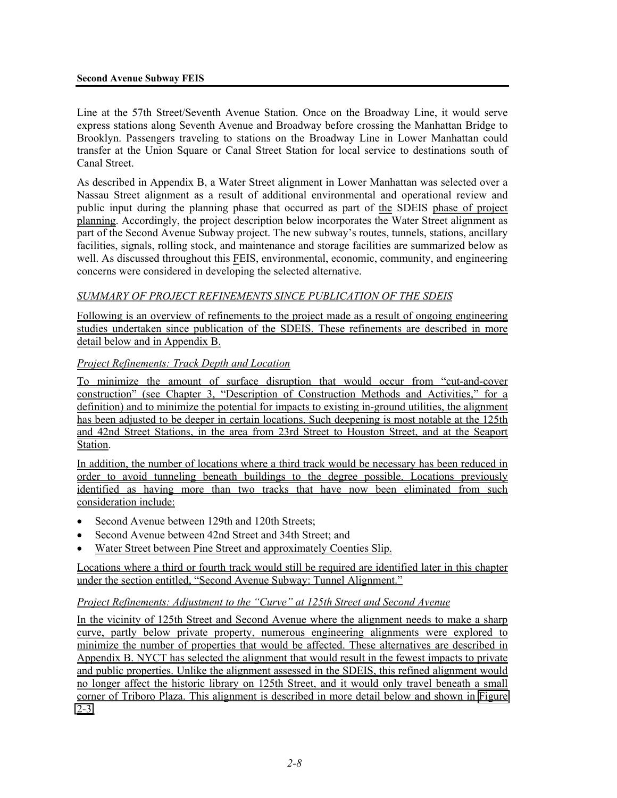#### **Second Avenue Subway FEIS**

Line at the 57th Street/Seventh Avenue Station. Once on the Broadway Line, it would serve express stations along Seventh Avenue and Broadway before crossing the Manhattan Bridge to Brooklyn. Passengers traveling to stations on the Broadway Line in Lower Manhattan could transfer at the Union Square or Canal Street Station for local service to destinations south of Canal Street.

As described in Appendix B, a Water Street alignment in Lower Manhattan was selected over a Nassau Street alignment as a result of additional environmental and operational review and public input during the planning phase that occurred as part of the SDEIS phase of project planning. Accordingly, the project description below incorporates the Water Street alignment as part of the Second Avenue Subway project. The new subway's routes, tunnels, stations, ancillary facilities, signals, rolling stock, and maintenance and storage facilities are summarized below as well. As discussed throughout this **FEIS**, environmental, economic, community, and engineering concerns were considered in developing the selected alternative.

## *SUMMARY OF PROJECT REFINEMENTS SINCE PUBLICATION OF THE SDEIS*

Following is an overview of refinements to the project made as a result of ongoing engineering studies undertaken since publication of the SDEIS. These refinements are described in more detail below and in Appendix B.

#### *Project Refinements: Track Depth and Location*

To minimize the amount of surface disruption that would occur from "cut-and-cover construction" (see Chapter 3, "Description of Construction Methods and Activities," for a definition) and to minimize the potential for impacts to existing in-ground utilities, the alignment has been adjusted to be deeper in certain locations. Such deepening is most notable at the 125th and 42nd Street Stations, in the area from 23rd Street to Houston Street, and at the Seaport Station.

In addition, the number of locations where a third track would be necessary has been reduced in order to avoid tunneling beneath buildings to the degree possible. Locations previously identified as having more than two tracks that have now been eliminated from such consideration include:

- Second Avenue between 129th and 120th Streets;
- Second Avenue between 42nd Street and 34th Street; and
- Water Street between Pine Street and approximately Coenties Slip.

Locations where a third or fourth track would still be required are identified later in this chapter under the section entitled, "Second Avenue Subway: Tunnel Alignment."

#### *Project Refinements: Adjustment to the "Curve" at 125th Street and Second Avenue*

In the vicinity of 125th Street and Second Avenue where the alignment needs to make a sharp curve, partly below private property, numerous engineering alignments were explored to minimize the number of properties that would be affected. These alternatives are described in Appendix B. NYCT has selected the alignment that would result in the fewest impacts to private and public properties. Unlike the alignment assessed in the SDEIS, this refined alignment would no longer affect the historic library on 125th Street, and it would only travel beneath a small corner of Triboro Plaza. This alignment is described in more detail below and shown in Figure  $2 - 3$ .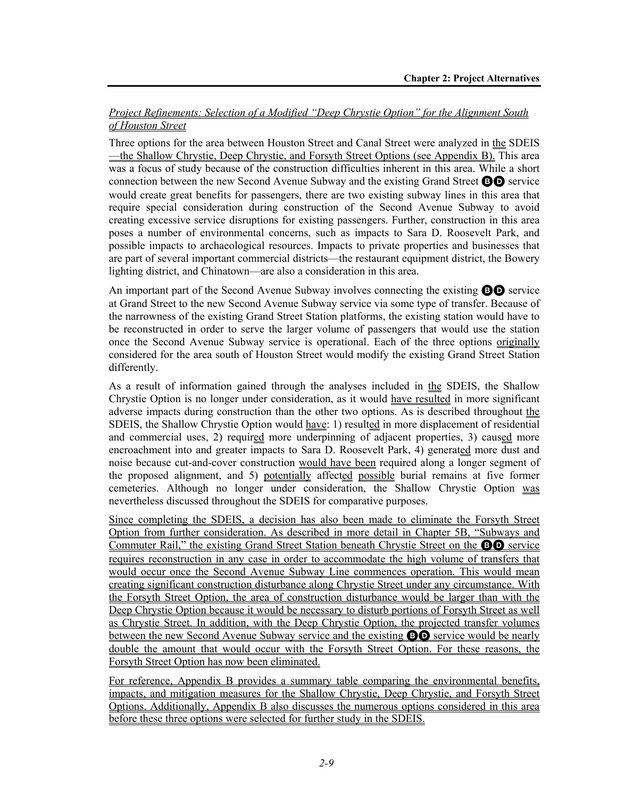## *Project Refinements: Selection of a Modified "Deep Chrystie Option" for the Alignment South of Houston Street*

Three options for the area between Houston Street and Canal Street were analyzed in the SDEIS —the Shallow Chrystie, Deep Chrystie, and Forsyth Street Options (see Appendix B). This area was a focus of study because of the construction difficulties inherent in this area. While a short connection between the new Second Avenue Subway and the existing Grand Street BD service would create great benefits for passengers, there are two existing subway lines in this area that require special consideration during construction of the Second Avenue Subway to avoid creating excessive service disruptions for existing passengers. Further, construction in this area poses a number of environmental concerns, such as impacts to Sara D. Roosevelt Park, and possible impacts to archaeological resources. Impacts to private properties and businesses that are part of several important commercial districts—the restaurant equipment district, the Bowery lighting district, and Chinatown—are also a consideration in this area.

An important part of the Second Avenue Subway involves connecting the existing BD service at Grand Street to the new Second Avenue Subway service via some type of transfer. Because of the narrowness of the existing Grand Street Station platforms, the existing station would have to be reconstructed in order to serve the larger volume of passengers that would use the station once the Second Avenue Subway service is operational. Each of the three options originally considered for the area south of Houston Street would modify the existing Grand Street Station differently.

As a result of information gained through the analyses included in the SDEIS, the Shallow Chrystie Option is no longer under consideration, as it would have resulted in more significant adverse impacts during construction than the other two options. As is described throughout the SDEIS, the Shallow Chrystie Option would have: 1) resulted in more displacement of residential and commercial uses, 2) required more underpinning of adjacent properties, 3) caused more encroachment into and greater impacts to Sara D. Roosevelt Park, 4) generated more dust and noise because cut-and-cover construction would have been required along a longer segment of the proposed alignment, and 5) potentially affected possible burial remains at five former cemeteries. Although no longer under consideration, the Shallow Chrystie Option was nevertheless discussed throughout the SDEIS for comparative purposes.

Since completing the SDEIS, a decision has also been made to eliminate the Forsyth Street Option from further consideration. As described in more detail in Chapter 5B, "Subways and Commuter Rail," the existing Grand Street Station beneath Chrystie Street on the BD service requires reconstruction in any case in order to accommodate the high volume of transfers that would occur once the Second Avenue Subway Line commences operation. This would mean creating significant construction disturbance along Chrystie Street under any circumstance. With the Forsyth Street Option, the area of construction disturbance would be larger than with the Deep Chrystie Option because it would be necessary to disturb portions of Forsyth Street as well as Chrystie Street. In addition, with the Deep Chrystie Option, the projected transfer volumes between the new Second Avenue Subway service and the existing **BD** service would be nearly double the amount that would occur with the Forsyth Street Option. For these reasons, the Forsyth Street Option has now been eliminated.

For reference, Appendix B provides a summary table comparing the environmental benefits, impacts, and mitigation measures for the Shallow Chrystie, Deep Chrystie, and Forsyth Street Options. Additionally, Appendix B also discusses the numerous options considered in this area before these three options were selected for further study in the SDEIS.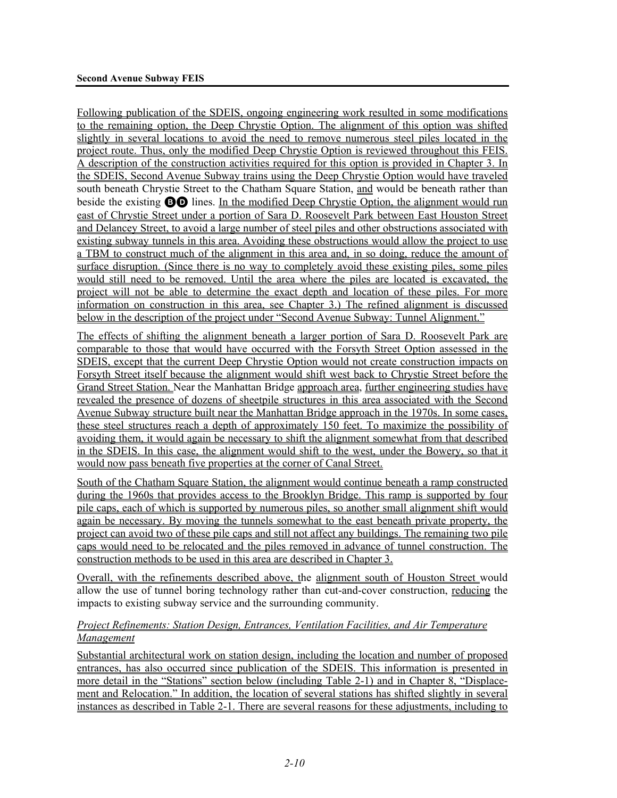Following publication of the SDEIS, ongoing engineering work resulted in some modifications to the remaining option, the Deep Chrystie Option. The alignment of this option was shifted slightly in several locations to avoid the need to remove numerous steel piles located in the project route. Thus, only the modified Deep Chrystie Option is reviewed throughout this FEIS. A description of the construction activities required for this option is provided in Chapter 3. In the SDEIS, Second Avenue Subway trains using the Deep Chrystie Option would have traveled south beneath Chrystie Street to the Chatham Square Station, and would be beneath rather than beside the existing BD lines. In the modified Deep Chrystie Option, the alignment would run east of Chrystie Street under a portion of Sara D. Roosevelt Park between East Houston Street and Delancey Street, to avoid a large number of steel piles and other obstructions associated with existing subway tunnels in this area. Avoiding these obstructions would allow the project to use a TBM to construct much of the alignment in this area and, in so doing, reduce the amount of surface disruption. (Since there is no way to completely avoid these existing piles, some piles would still need to be removed. Until the area where the piles are located is excavated, the project will not be able to determine the exact depth and location of these piles. For more information on construction in this area, see Chapter 3.) The refined alignment is discussed below in the description of the project under "Second Avenue Subway: Tunnel Alignment."

The effects of shifting the alignment beneath a larger portion of Sara D. Roosevelt Park are comparable to those that would have occurred with the Forsyth Street Option assessed in the SDEIS, except that the current Deep Chrystie Option would not create construction impacts on Forsyth Street itself because the alignment would shift west back to Chrystie Street before the Grand Street Station. Near the Manhattan Bridge approach area, further engineering studies have revealed the presence of dozens of sheetpile structures in this area associated with the Second Avenue Subway structure built near the Manhattan Bridge approach in the 1970s. In some cases, these steel structures reach a depth of approximately 150 feet. To maximize the possibility of avoiding them, it would again be necessary to shift the alignment somewhat from that described in the SDEIS. In this case, the alignment would shift to the west, under the Bowery, so that it would now pass beneath five properties at the corner of Canal Street.

South of the Chatham Square Station, the alignment would continue beneath a ramp constructed during the 1960s that provides access to the Brooklyn Bridge. This ramp is supported by four pile caps, each of which is supported by numerous piles, so another small alignment shift would again be necessary. By moving the tunnels somewhat to the east beneath private property, the project can avoid two of these pile caps and still not affect any buildings. The remaining two pile caps would need to be relocated and the piles removed in advance of tunnel construction. The construction methods to be used in this area are described in Chapter 3.

Overall, with the refinements described above, the alignment south of Houston Street would allow the use of tunnel boring technology rather than cut-and-cover construction, reducing the impacts to existing subway service and the surrounding community.

## *Project Refinements: Station Design, Entrances, Ventilation Facilities, and Air Temperature Management*

Substantial architectural work on station design, including the location and number of proposed entrances, has also occurred since publication of the SDEIS. This information is presented in more detail in the "Stations" section below (including Table 2-1) and in Chapter 8, "Displacement and Relocation." In addition, the location of several stations has shifted slightly in several instances as described in Table 2-1. There are several reasons for these adjustments, including to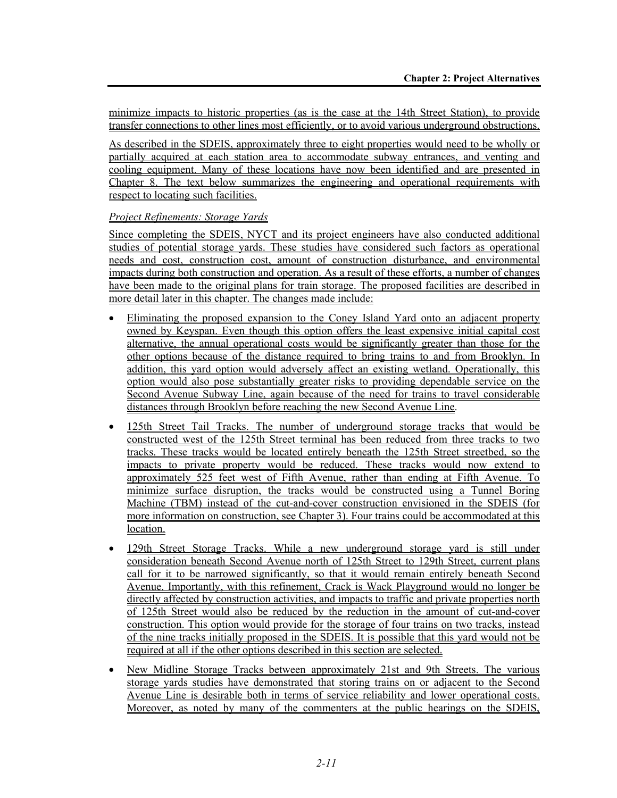minimize impacts to historic properties (as is the case at the 14th Street Station), to provide transfer connections to other lines most efficiently, or to avoid various underground obstructions.

As described in the SDEIS, approximately three to eight properties would need to be wholly or partially acquired at each station area to accommodate subway entrances, and venting and cooling equipment. Many of these locations have now been identified and are presented in Chapter 8. The text below summarizes the engineering and operational requirements with respect to locating such facilities.

## *Project Refinements: Storage Yards*

Since completing the SDEIS, NYCT and its project engineers have also conducted additional studies of potential storage yards. These studies have considered such factors as operational needs and cost, construction cost, amount of construction disturbance, and environmental impacts during both construction and operation. As a result of these efforts, a number of changes have been made to the original plans for train storage. The proposed facilities are described in more detail later in this chapter. The changes made include:

- Eliminating the proposed expansion to the Coney Island Yard onto an adjacent property owned by Keyspan. Even though this option offers the least expensive initial capital cost alternative, the annual operational costs would be significantly greater than those for the other options because of the distance required to bring trains to and from Brooklyn. In addition, this yard option would adversely affect an existing wetland. Operationally, this option would also pose substantially greater risks to providing dependable service on the Second Avenue Subway Line, again because of the need for trains to travel considerable distances through Brooklyn before reaching the new Second Avenue Line.
- 125th Street Tail Tracks. The number of underground storage tracks that would be constructed west of the 125th Street terminal has been reduced from three tracks to two tracks. These tracks would be located entirely beneath the 125th Street streetbed, so the impacts to private property would be reduced. These tracks would now extend to approximately 525 feet west of Fifth Avenue, rather than ending at Fifth Avenue. To minimize surface disruption, the tracks would be constructed using a Tunnel Boring Machine (TBM) instead of the cut-and-cover construction envisioned in the SDEIS (for more information on construction, see Chapter 3). Four trains could be accommodated at this location.
- 129th Street Storage Tracks. While a new underground storage yard is still under consideration beneath Second Avenue north of 125th Street to 129th Street, current plans call for it to be narrowed significantly, so that it would remain entirely beneath Second Avenue. Importantly, with this refinement, Crack is Wack Playground would no longer be directly affected by construction activities, and impacts to traffic and private properties north of 125th Street would also be reduced by the reduction in the amount of cut-and-cover construction. This option would provide for the storage of four trains on two tracks, instead of the nine tracks initially proposed in the SDEIS. It is possible that this yard would not be required at all if the other options described in this section are selected.
- New Midline Storage Tracks between approximately 21st and 9th Streets. The various storage yards studies have demonstrated that storing trains on or adjacent to the Second Avenue Line is desirable both in terms of service reliability and lower operational costs. Moreover, as noted by many of the commenters at the public hearings on the SDEIS,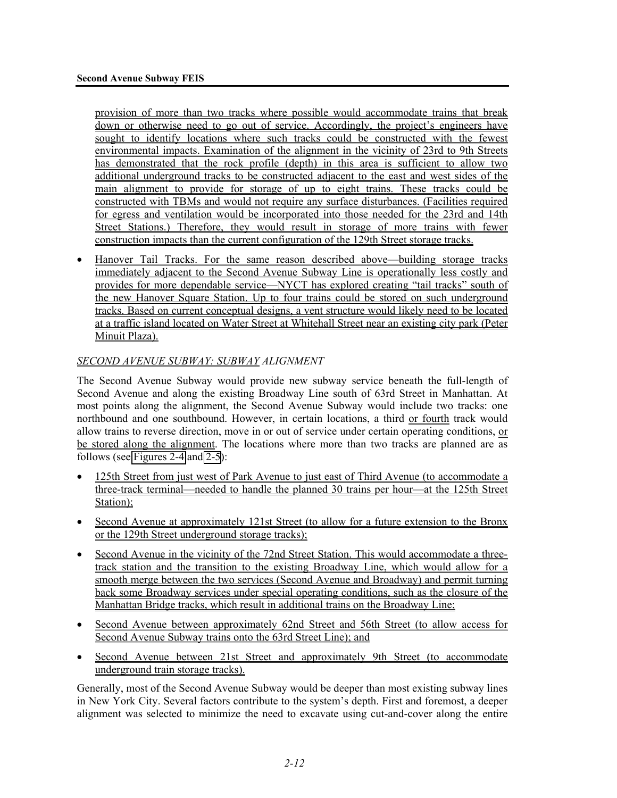provision of more than two tracks where possible would accommodate trains that break down or otherwise need to go out of service. Accordingly, the project's engineers have sought to identify locations where such tracks could be constructed with the fewest environmental impacts. Examination of the alignment in the vicinity of 23rd to 9th Streets has demonstrated that the rock profile (depth) in this area is sufficient to allow two additional underground tracks to be constructed adjacent to the east and west sides of the main alignment to provide for storage of up to eight trains. These tracks could be constructed with TBMs and would not require any surface disturbances. (Facilities required for egress and ventilation would be incorporated into those needed for the 23rd and 14th Street Stations.) Therefore, they would result in storage of more trains with fewer construction impacts than the current configuration of the 129th Street storage tracks.

• Hanover Tail Tracks. For the same reason described above—building storage tracks immediately adjacent to the Second Avenue Subway Line is operationally less costly and provides for more dependable service—NYCT has explored creating "tail tracks" south of the new Hanover Square Station. Up to four trains could be stored on such underground tracks. Based on current conceptual designs, a vent structure would likely need to be located at a traffic island located on Water Street at Whitehall Street near an existing city park (Peter Minuit Plaza).

# *SECOND AVENUE SUBWAY: SUBWAY ALIGNMENT*

The Second Avenue Subway would provide new subway service beneath the full-length of Second Avenue and along the existing Broadway Line south of 63rd Street in Manhattan. At most points along the alignment, the Second Avenue Subway would include two tracks: one northbound and one southbound. However, in certain locations, a third or fourth track would allow trains to reverse direction, move in or out of service under certain operating conditions, or be stored along the alignment. The locations where more than two tracks are planned are as follows (see Figures 2-4 and 2-5):

- 125th Street from just west of Park Avenue to just east of Third Avenue (to accommodate a three-track terminal—needed to handle the planned 30 trains per hour—at the 125th Street Station);
- Second Avenue at approximately 121st Street (to allow for a future extension to the Bronx or the 129th Street underground storage tracks);
- Second Avenue in the vicinity of the 72nd Street Station. This would accommodate a threetrack station and the transition to the existing Broadway Line, which would allow for a smooth merge between the two services (Second Avenue and Broadway) and permit turning back some Broadway services under special operating conditions, such as the closure of the Manhattan Bridge tracks, which result in additional trains on the Broadway Line;
- Second Avenue between approximately 62nd Street and 56th Street (to allow access for Second Avenue Subway trains onto the 63rd Street Line); and
- Second Avenue between 21st Street and approximately 9th Street (to accommodate underground train storage tracks).

Generally, most of the Second Avenue Subway would be deeper than most existing subway lines in New York City. Several factors contribute to the system's depth. First and foremost, a deeper alignment was selected to minimize the need to excavate using cut-and-cover along the entire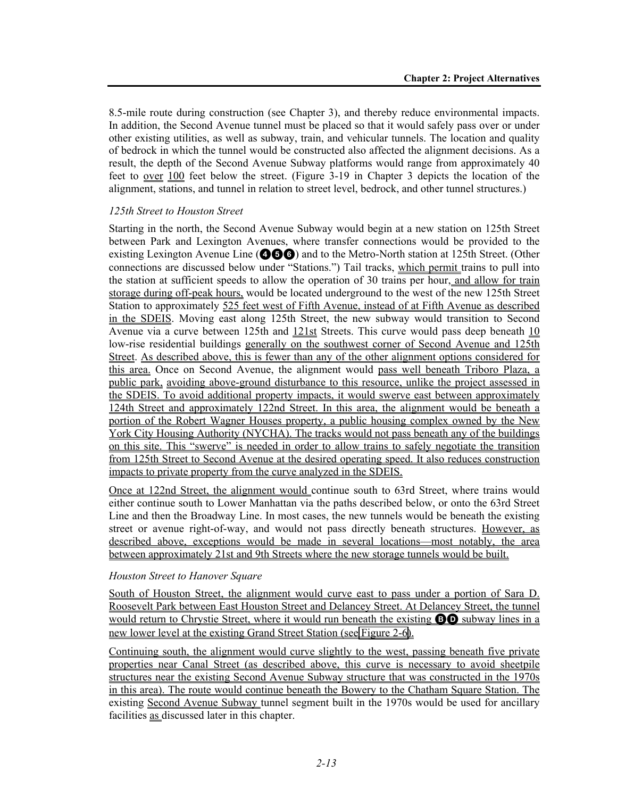8.5-mile route during construction (see Chapter 3), and thereby reduce environmental impacts. In addition, the Second Avenue tunnel must be placed so that it would safely pass over or under other existing utilities, as well as subway, train, and vehicular tunnels. The location and quality of bedrock in which the tunnel would be constructed also affected the alignment decisions. As a result, the depth of the Second Avenue Subway platforms would range from approximately 40 feet to over 100 feet below the street. (Figure 3-19 in Chapter 3 depicts the location of the alignment, stations, and tunnel in relation to street level, bedrock, and other tunnel structures.)

#### *125th Street to Houston Street*

Starting in the north, the Second Avenue Subway would begin at a new station on 125th Street between Park and Lexington Avenues, where transfer connections would be provided to the existing Lexington Avenue Line ( $\odot$   $\odot$   $\odot$ ) and to the Metro-North station at 125th Street. (Other connections are discussed below under "Stations.") Tail tracks, which permit trains to pull into the station at sufficient speeds to allow the operation of 30 trains per hour, and allow for train storage during off-peak hours, would be located underground to the west of the new 125th Street Station to approximately 525 feet west of Fifth Avenue, instead of at Fifth Avenue as described in the SDEIS. Moving east along 125th Street, the new subway would transition to Second Avenue via a curve between 125th and  $121st$  Streets. This curve would pass deep beneath  $10$ low-rise residential buildings generally on the southwest corner of Second Avenue and 125th Street. As described above, this is fewer than any of the other alignment options considered for this area. Once on Second Avenue, the alignment would pass well beneath Triboro Plaza, a public park, avoiding above-ground disturbance to this resource, unlike the project assessed in the SDEIS. To avoid additional property impacts, it would swerve east between approximately 124th Street and approximately 122nd Street. In this area, the alignment would be beneath a portion of the Robert Wagner Houses property, a public housing complex owned by the New York City Housing Authority (NYCHA). The tracks would not pass beneath any of the buildings on this site. This "swerve" is needed in order to allow trains to safely negotiate the transition from 125th Street to Second Avenue at the desired operating speed. It also reduces construction impacts to private property from the curve analyzed in the SDEIS.

Once at 122nd Street, the alignment would continue south to 63rd Street, where trains would either continue south to Lower Manhattan via the paths described below, or onto the 63rd Street Line and then the Broadway Line. In most cases, the new tunnels would be beneath the existing street or avenue right-of-way, and would not pass directly beneath structures. However, as described above, exceptions would be made in several locations—most notably, the area between approximately 21st and 9th Streets where the new storage tunnels would be built.

#### *Houston Street to Hanover Square*

South of Houston Street, the alignment would curve east to pass under a portion of Sara D. Roosevelt Park between East Houston Street and Delancey Street. At Delancey Street, the tunnel would return to Chrystie Street, where it would run beneath the existing **BO** subway lines in a new lower level at the existing Grand Street Station (see Figure 2-6).

Continuing south, the alignment would curve slightly to the west, passing beneath five private properties near Canal Street (as described above, this curve is necessary to avoid sheetpile structures near the existing Second Avenue Subway structure that was constructed in the 1970s in this area). The route would continue beneath the Bowery to the Chatham Square Station. The existing Second Avenue Subway tunnel segment built in the 1970s would be used for ancillary facilities as discussed later in this chapter.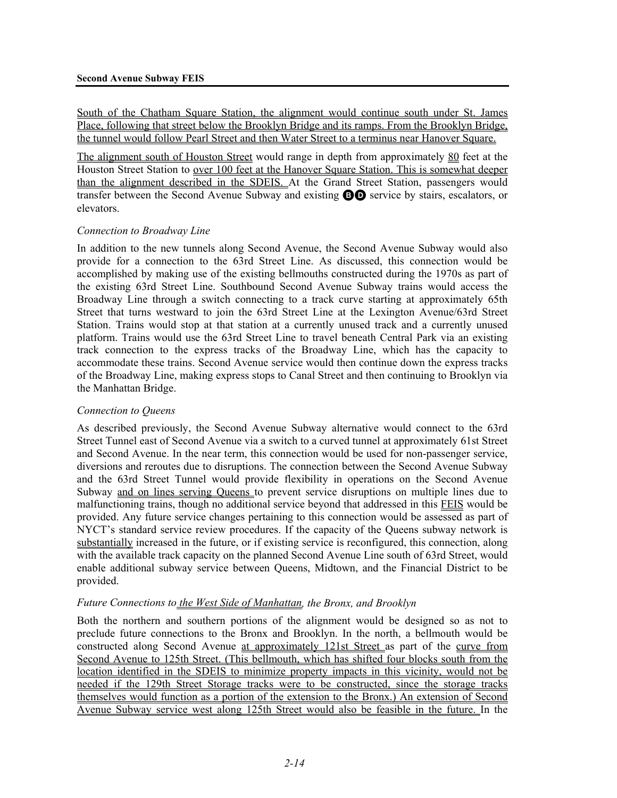South of the Chatham Square Station, the alignment would continue south under St. James Place, following that street below the Brooklyn Bridge and its ramps. From the Brooklyn Bridge, the tunnel would follow Pearl Street and then Water Street to a terminus near Hanover Square.

The alignment south of Houston Street would range in depth from approximately 80 feet at the Houston Street Station to over 100 feet at the Hanover Square Station. This is somewhat deeper than the alignment described in the SDEIS. At the Grand Street Station, passengers would transfer between the Second Avenue Subway and existing BD service by stairs, escalators, or elevators.

#### *Connection to Broadway Line*

In addition to the new tunnels along Second Avenue, the Second Avenue Subway would also provide for a connection to the 63rd Street Line. As discussed, this connection would be accomplished by making use of the existing bellmouths constructed during the 1970s as part of the existing 63rd Street Line. Southbound Second Avenue Subway trains would access the Broadway Line through a switch connecting to a track curve starting at approximately 65th Street that turns westward to join the 63rd Street Line at the Lexington Avenue/63rd Street Station. Trains would stop at that station at a currently unused track and a currently unused platform. Trains would use the 63rd Street Line to travel beneath Central Park via an existing track connection to the express tracks of the Broadway Line, which has the capacity to accommodate these trains. Second Avenue service would then continue down the express tracks of the Broadway Line, making express stops to Canal Street and then continuing to Brooklyn via the Manhattan Bridge.

## *Connection to Queens*

As described previously, the Second Avenue Subway alternative would connect to the 63rd Street Tunnel east of Second Avenue via a switch to a curved tunnel at approximately 61st Street and Second Avenue. In the near term, this connection would be used for non-passenger service, diversions and reroutes due to disruptions. The connection between the Second Avenue Subway and the 63rd Street Tunnel would provide flexibility in operations on the Second Avenue Subway and on lines serving Queens to prevent service disruptions on multiple lines due to malfunctioning trains, though no additional service beyond that addressed in this FEIS would be provided. Any future service changes pertaining to this connection would be assessed as part of NYCT's standard service review procedures. If the capacity of the Queens subway network is substantially increased in the future, or if existing service is reconfigured, this connection, along with the available track capacity on the planned Second Avenue Line south of 63rd Street, would enable additional subway service between Queens, Midtown, and the Financial District to be provided.

## *Future Connections to the West Side of Manhattan, the Bronx, and Brooklyn*

Both the northern and southern portions of the alignment would be designed so as not to preclude future connections to the Bronx and Brooklyn. In the north, a bellmouth would be constructed along Second Avenue at approximately 121st Street as part of the curve from Second Avenue to 125th Street. (This bellmouth, which has shifted four blocks south from the location identified in the SDEIS to minimize property impacts in this vicinity, would not be needed if the 129th Street Storage tracks were to be constructed, since the storage tracks themselves would function as a portion of the extension to the Bronx.) An extension of Second Avenue Subway service west along 125th Street would also be feasible in the future. In the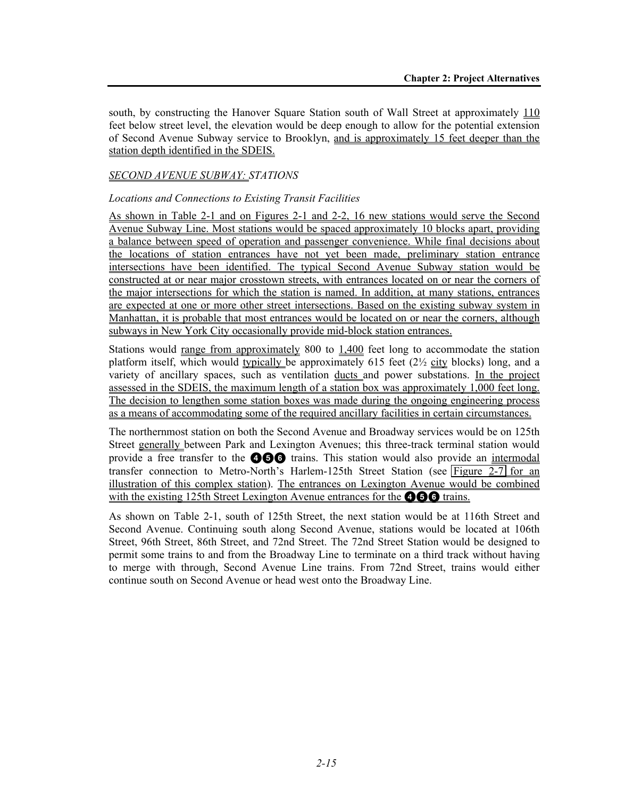south, by constructing the Hanover Square Station south of Wall Street at approximately 110 feet below street level, the elevation would be deep enough to allow for the potential extension of Second Avenue Subway service to Brooklyn, and is approximately 15 feet deeper than the station depth identified in the SDEIS.

## *SECOND AVENUE SUBWAY: STATIONS*

#### *Locations and Connections to Existing Transit Facilities*

As shown in Table 2-1 and on Figures 2-1 and 2-2, 16 new stations would serve the Second Avenue Subway Line. Most stations would be spaced approximately 10 blocks apart, providing a balance between speed of operation and passenger convenience. While final decisions about the locations of station entrances have not yet been made, preliminary station entrance intersections have been identified. The typical Second Avenue Subway station would be constructed at or near major crosstown streets, with entrances located on or near the corners of the major intersections for which the station is named. In addition, at many stations, entrances are expected at one or more other street intersections. Based on the existing subway system in Manhattan, it is probable that most entrances would be located on or near the corners, although subways in New York City occasionally provide mid-block station entrances.

Stations would <u>range from approximately</u> 800 to 1,400 feet long to accommodate the station platform itself, which would typically be approximately 615 feet (2½ city blocks) long, and a variety of ancillary spaces, such as ventilation ducts and power substations. In the project assessed in the SDEIS, the maximum length of a station box was approximately 1,000 feet long. The decision to lengthen some station boxes was made during the ongoing engineering process as a means of accommodating some of the required ancillary facilities in certain circumstances.

The northernmost station on both the Second Avenue and Broadway services would be on 125th Street generally between Park and Lexington Avenues; this three-track terminal station would provide a free transfer to the **466** trains. This station would also provide an intermodal transfer connection to Metro-North's Harlem-125th Street Station (see Figure 2-7 for an illustration of this complex station). The entrances on Lexington Avenue would be combined with the existing 125th Street Lexington Avenue entrances for the  $\bigcirc$   $\bigcirc$  trains.

As shown on Table 2-1, south of 125th Street, the next station would be at 116th Street and Second Avenue. Continuing south along Second Avenue, stations would be located at 106th Street, 96th Street, 86th Street, and 72nd Street. The 72nd Street Station would be designed to permit some trains to and from the Broadway Line to terminate on a third track without having to merge with through, Second Avenue Line trains. From 72nd Street, trains would either continue south on Second Avenue or head west onto the Broadway Line.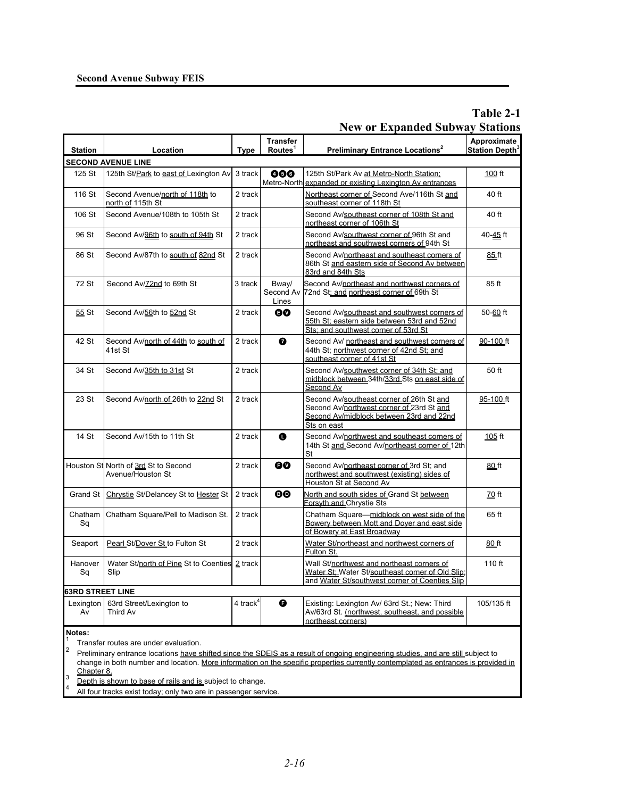#### **Second Avenue Subway FEIS**

# **Table 2-1 New or Expanded Subway Stations**

| <b>Station</b>                                 | Location                                                  | <b>Type</b> | <b>Transfer</b><br>Routes <sup>1</sup> | Preliminary Entrance Locations <sup>2</sup>                                                                                                       | Approximate<br>Station Depth <sup>3</sup> |
|------------------------------------------------|-----------------------------------------------------------|-------------|----------------------------------------|---------------------------------------------------------------------------------------------------------------------------------------------------|-------------------------------------------|
| <b>SECOND AVENUE LINE</b>                      |                                                           |             |                                        |                                                                                                                                                   |                                           |
| 125 St                                         | 125th St/Park to east of Lexington Av                     | 3 track     | 000                                    | 125th St/Park Av at Metro-North Station;<br>Metro-North expanded or existing Lexington Av entrances                                               | $100$ ft                                  |
| 116 St                                         | Second Avenue/north of 118th to<br>north of 115th St      | 2 track     |                                        | Northeast corner of Second Ave/116th St and<br>southeast corner of 118th St                                                                       | 40 ft                                     |
| 106 St                                         | Second Avenue/108th to 105th St                           | 2 track     |                                        | Second Av/southeast corner of 108th St and<br>northeast corner of 106th St                                                                        | 40 ft                                     |
| 96 St                                          | Second Av/96th to south of 94th St                        | 2 track     |                                        | Second Av/southwest corner of 96th St and<br>northeast and southwest corners of 94th St                                                           | 40-45 ft                                  |
| 86 St                                          | Second Av/87th to south of 82nd St                        | 2 track     |                                        | Second Av/northeast and southeast corners of<br>86th St and eastern side of Second Av between<br>83rd and 84th Sts                                | 85 ft                                     |
| 72 St                                          | Second Av/72nd to 69th St                                 | 3 track     | Bway/<br>Second Av<br>Lines            | Second Av/northeast and northwest corners of<br>72nd St; and northeast corner of 69th St                                                          | 85 ft                                     |
| 55 St                                          | Second Av/56th to 52nd St                                 | 2 track     | 60                                     | Second Av/southeast and southwest corners of<br>55th St; eastern side between 53rd and 52nd<br>Sts; and southwest corner of 53rd St               | 50-60 ft                                  |
| 42 St                                          | Second Av/north of 44th to south of<br>41st St            | 2 track     | ➊                                      | Second Av/ northeast and southwest corners of<br>44th St; northwest corner of 42nd St; and<br>southeast corner of 41st St                         | 90-100 ft                                 |
| 34 St                                          | Second Av/35th to 31st St                                 | 2 track     |                                        | Second Av/southwest corner of 34th St; and<br>midblock between 34th/33rd Sts on east side of<br>Second Av                                         | 50 ft                                     |
| 23 St                                          | Second Av/north of 26th to 22nd St                        | 2 track     |                                        | Second Av/southeast corner of 26th St and<br>Second Av/northwest corner of 23rd St and<br>Second Av/midblock between 23rd and 22nd<br>Sts on east | 95-100 ft                                 |
| 14 St                                          | Second Av/15th to 11th St                                 | 2 track     | O                                      | Second Av/northwest and southeast corners of<br>14th St and Second Av/northeast corner of 12th<br>St                                              | 105 ft                                    |
|                                                | Houston St North of 3rd St to Second<br>Avenue/Houston St | 2 track     | 0Ø                                     | Second Av/northeast corner of 3rd St; and<br>northwest and southwest (existing) sides of<br>Houston St at Second Av                               | 80 ft                                     |
| Grand St                                       | Chrystie St/Delancey St to Hester St                      | 2 track     | ®®                                     | North and south sides of Grand St between<br>Forsyth and Chrystie Sts                                                                             | 70 ft                                     |
| Chatham<br>Sq                                  | Chatham Square/Pell to Madison St.                        | 2 track     |                                        | Chatham Square-midblock on west side of the<br>Bowery between Mott and Doyer and east side<br>of Bowery at East Broadway                          | 65 ft                                     |
| Seaport                                        | Pearl St/Dover St to Fulton St                            | 2 track     |                                        | Water St/northeast and northwest corners of<br>Fulton St.                                                                                         | 80 ft                                     |
| Hanover<br>Sq                                  | Water St/north of Pine St to Coenties 2 track<br>Slip     |             |                                        | Wall St/northwest and northeast corners of<br>Water St: Water St/southeast corner of Old Slip;<br>and Water St/southwest corner of Coenties Slip  | 110 ft                                    |
| <b>63RD STREET LINE</b>                        |                                                           |             |                                        |                                                                                                                                                   |                                           |
| Lexington<br>Av                                | 63rd Street/Lexington to<br>Third Av                      | 4 track $4$ | G                                      | Existing: Lexington Av/ 63rd St.; New: Third<br>Av/63rd St. (northwest, southeast, and possible<br>northeast corners)                             | 105/135 ft                                |
| Notes:<br>Transfer routes are under evaluation |                                                           |             |                                        |                                                                                                                                                   |                                           |

 $\frac{1}{2}$  Transfer routes are under evaluation.

Preliminary entrance locations have shifted since the SDEIS as a result of ongoing engineering studies, and are still subject to change in both number and location. More information on the specific properties currently contemplated as entrances is provided in Chapter 8.

3

 $\frac{3}{4}$  Depth is shown to base of rails and is subject to change.

All four tracks exist today; only two are in passenger service.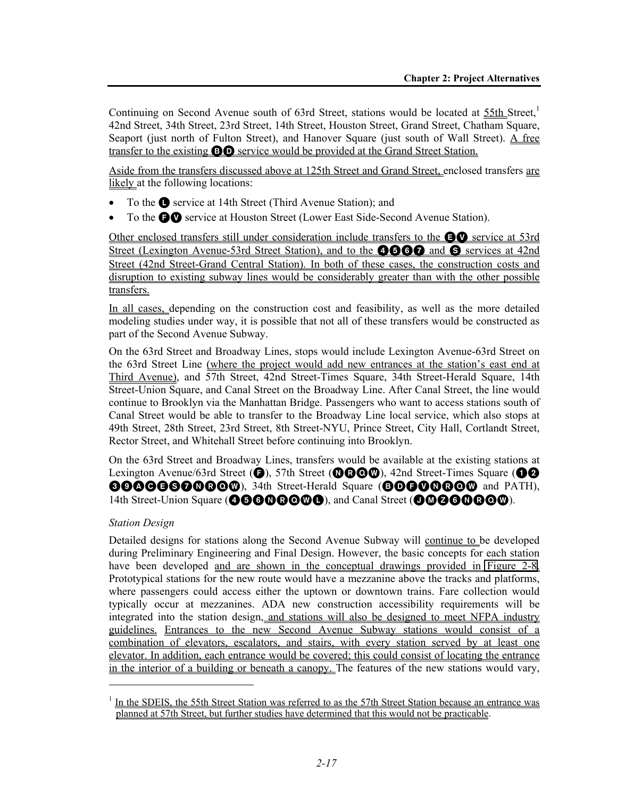Continuing on Second Avenue south of 63rd Street, stations would be located at  $55th$  Street,<sup>1</sup> 42nd Street, 34th Street, 23rd Street, 14th Street, Houston Street, Grand Street, Chatham Square, Seaport (just north of Fulton Street), and Hanover Square (just south of Wall Street). A free transfer to the existing BD service would be provided at the Grand Street Station.

Aside from the transfers discussed above at 125th Street and Grand Street, enclosed transfers are likely at the following locations:

- To the **Q** service at 14th Street (Third Avenue Station); and
- To the **OO** service at Houston Street (Lower East Side-Second Avenue Station).

Other enclosed transfers still under consideration include transfers to the  $\bigcirc$  service at 53rd Street (Lexington Avenue-53rd Street Station), and to the **4560** and **S** services at 42nd Street (42nd Street-Grand Central Station). In both of these cases, the construction costs and disruption to existing subway lines would be considerably greater than with the other possible transfers.

In all cases, depending on the construction cost and feasibility, as well as the more detailed modeling studies under way, it is possible that not all of these transfers would be constructed as part of the Second Avenue Subway.

On the 63rd Street and Broadway Lines, stops would include Lexington Avenue-63rd Street on the 63rd Street Line (where the project would add new entrances at the station's east end at Third Avenue), and 57th Street, 42nd Street-Times Square, 34th Street-Herald Square, 14th Street-Union Square, and Canal Street on the Broadway Line. After Canal Street, the line would continue to Brooklyn via the Manhattan Bridge. Passengers who want to access stations south of Canal Street would be able to transfer to the Broadway Line local service, which also stops at 49th Street, 28th Street, 23rd Street, 8th Street-NYU, Prince Street, City Hall, Cortlandt Street, Rector Street, and Whitehall Street before continuing into Brooklyn.

On the 63rd Street and Broadway Lines, transfers would be available at the existing stations at Lexington Avenue/63rd Street ( $\bigcirc$ ), 57th Street ( $\bigcirc$  $\bigcirc$  $\bigcirc$  $\bigcirc$ ), 42nd Street-Times Square ( $\bigcirc$  $\bigcirc$ 6000660000000, 34th Street-Herald Square (BDG00000 and PATH), 14th Street-Union Square (**466000000**), and Canal Street (**000000000**).

## *Station Design*

l

Detailed designs for stations along the Second Avenue Subway will continue to be developed during Preliminary Engineering and Final Design. However, the basic concepts for each station have been developed and are shown in the conceptual drawings provided in Figure 2-8. Prototypical stations for the new route would have a mezzanine above the tracks and platforms, where passengers could access either the uptown or downtown trains. Fare collection would typically occur at mezzanines. ADA new construction accessibility requirements will be integrated into the station design, and stations will also be designed to meet NFPA industry guidelines. Entrances to the new Second Avenue Subway stations would consist of a combination of elevators, escalators, and stairs, with every station served by at least one elevator. In addition, each entrance would be covered; this could consist of locating the entrance in the interior of a building or beneath a canopy. The features of the new stations would vary,

<sup>&</sup>lt;sup>1</sup> In the SDEIS, the 55th Street Station was referred to as the 57th Street Station because an entrance was planned at 57th Street, but further studies have determined that this would not be practicable.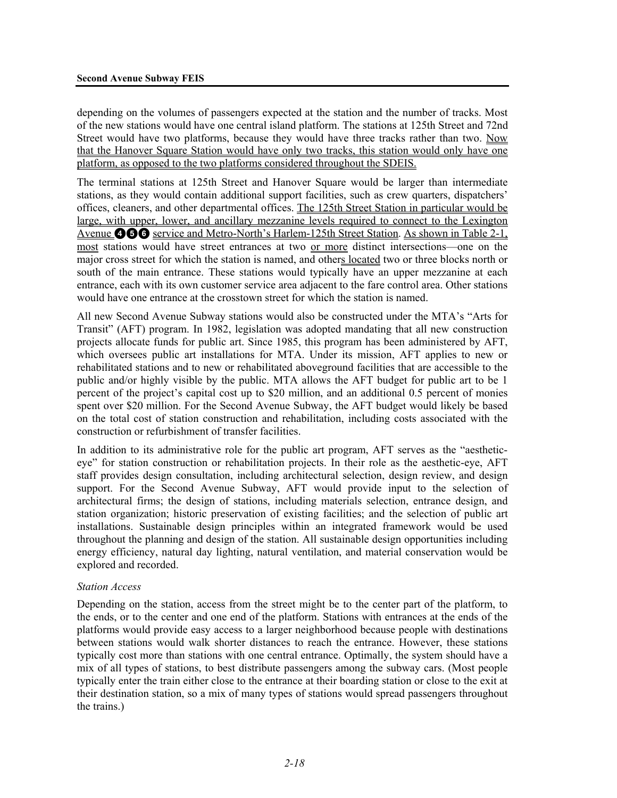depending on the volumes of passengers expected at the station and the number of tracks. Most of the new stations would have one central island platform. The stations at 125th Street and 72nd Street would have two platforms, because they would have three tracks rather than two. Now that the Hanover Square Station would have only two tracks, this station would only have one platform, as opposed to the two platforms considered throughout the SDEIS.

The terminal stations at 125th Street and Hanover Square would be larger than intermediate stations, as they would contain additional support facilities, such as crew quarters, dispatchers' offices, cleaners, and other departmental offices. The 125th Street Station in particular would be large, with upper, lower, and ancillary mezzanine levels required to connect to the Lexington Avenue **466** service and Metro-North's Harlem-125th Street Station. As shown in Table 2-1, most stations would have street entrances at two or more distinct intersections—one on the major cross street for which the station is named, and others located two or three blocks north or south of the main entrance. These stations would typically have an upper mezzanine at each entrance, each with its own customer service area adjacent to the fare control area. Other stations would have one entrance at the crosstown street for which the station is named.

All new Second Avenue Subway stations would also be constructed under the MTA's "Arts for Transit" (AFT) program. In 1982, legislation was adopted mandating that all new construction projects allocate funds for public art. Since 1985, this program has been administered by AFT, which oversees public art installations for MTA. Under its mission, AFT applies to new or rehabilitated stations and to new or rehabilitated aboveground facilities that are accessible to the public and/or highly visible by the public. MTA allows the AFT budget for public art to be 1 percent of the project's capital cost up to \$20 million, and an additional 0.5 percent of monies spent over \$20 million. For the Second Avenue Subway, the AFT budget would likely be based on the total cost of station construction and rehabilitation, including costs associated with the construction or refurbishment of transfer facilities.

In addition to its administrative role for the public art program, AFT serves as the "aestheticeye" for station construction or rehabilitation projects. In their role as the aesthetic-eye, AFT staff provides design consultation, including architectural selection, design review, and design support. For the Second Avenue Subway, AFT would provide input to the selection of architectural firms; the design of stations, including materials selection, entrance design, and station organization; historic preservation of existing facilities; and the selection of public art installations. Sustainable design principles within an integrated framework would be used throughout the planning and design of the station. All sustainable design opportunities including energy efficiency, natural day lighting, natural ventilation, and material conservation would be explored and recorded.

#### *Station Access*

Depending on the station, access from the street might be to the center part of the platform, to the ends, or to the center and one end of the platform. Stations with entrances at the ends of the platforms would provide easy access to a larger neighborhood because people with destinations between stations would walk shorter distances to reach the entrance. However, these stations typically cost more than stations with one central entrance. Optimally, the system should have a mix of all types of stations, to best distribute passengers among the subway cars. (Most people typically enter the train either close to the entrance at their boarding station or close to the exit at their destination station, so a mix of many types of stations would spread passengers throughout the trains.)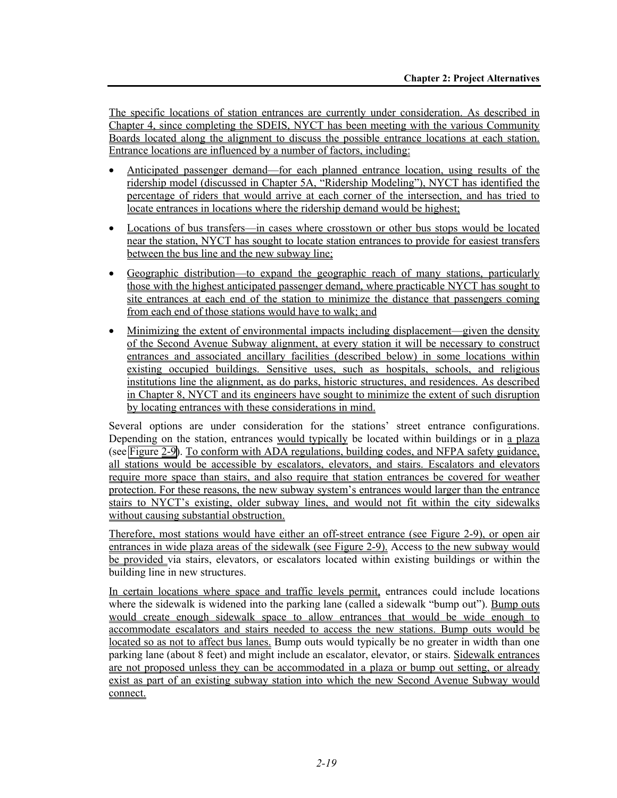The specific locations of station entrances are currently under consideration. As described in Chapter 4, since completing the SDEIS, NYCT has been meeting with the various Community Boards located along the alignment to discuss the possible entrance locations at each station. Entrance locations are influenced by a number of factors, including:

- Anticipated passenger demand—for each planned entrance location, using results of the ridership model (discussed in Chapter 5A, "Ridership Modeling"), NYCT has identified the percentage of riders that would arrive at each corner of the intersection, and has tried to locate entrances in locations where the ridership demand would be highest;
- Locations of bus transfers—in cases where crosstown or other bus stops would be located near the station, NYCT has sought to locate station entrances to provide for easiest transfers between the bus line and the new subway line;
- Geographic distribution—to expand the geographic reach of many stations, particularly those with the highest anticipated passenger demand, where practicable NYCT has sought to site entrances at each end of the station to minimize the distance that passengers coming from each end of those stations would have to walk; and
- Minimizing the extent of environmental impacts including displacement—given the density of the Second Avenue Subway alignment, at every station it will be necessary to construct entrances and associated ancillary facilities (described below) in some locations within existing occupied buildings. Sensitive uses, such as hospitals, schools, and religious institutions line the alignment, as do parks, historic structures, and residences. As described in Chapter 8, NYCT and its engineers have sought to minimize the extent of such disruption by locating entrances with these considerations in mind.

Several options are under consideration for the stations' street entrance configurations. Depending on the station, entrances would typically be located within buildings or in a plaza (see Figure 2-9). To conform with ADA regulations, building codes, and NFPA safety guidance, all stations would be accessible by escalators, elevators, and stairs. Escalators and elevators require more space than stairs, and also require that station entrances be covered for weather protection. For these reasons, the new subway system's entrances would larger than the entrance stairs to NYCT's existing, older subway lines, and would not fit within the city sidewalks without causing substantial obstruction.

Therefore, most stations would have either an off-street entrance (see Figure 2-9), or open air entrances in wide plaza areas of the sidewalk (see Figure 2-9). Access to the new subway would be provided via stairs, elevators, or escalators located within existing buildings or within the building line in new structures.

In certain locations where space and traffic levels permit, entrances could include locations where the sidewalk is widened into the parking lane (called a sidewalk "bump out"). Bump outs would create enough sidewalk space to allow entrances that would be wide enough to accommodate escalators and stairs needed to access the new stations. Bump outs would be located so as not to affect bus lanes. Bump outs would typically be no greater in width than one parking lane (about 8 feet) and might include an escalator, elevator, or stairs. Sidewalk entrances are not proposed unless they can be accommodated in a plaza or bump out setting, or already exist as part of an existing subway station into which the new Second Avenue Subway would connect.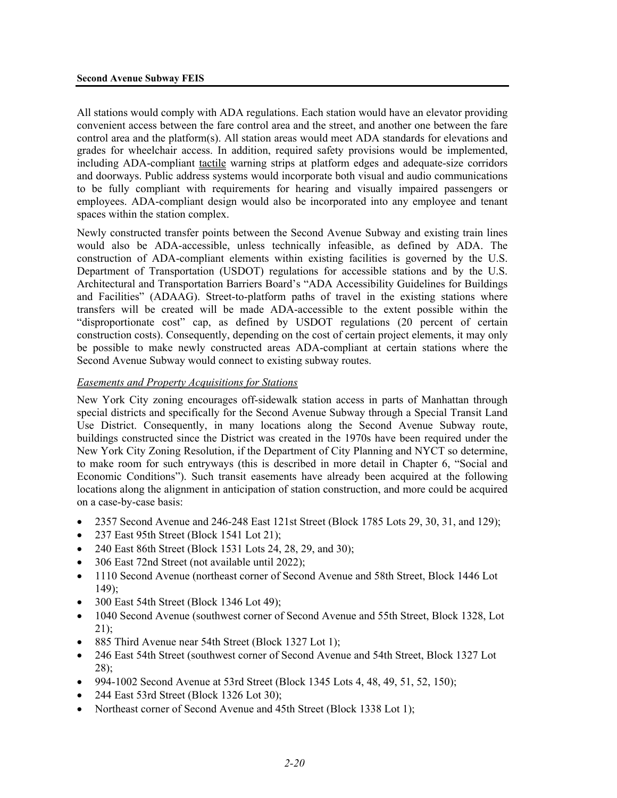#### **Second Avenue Subway FEIS**

All stations would comply with ADA regulations. Each station would have an elevator providing convenient access between the fare control area and the street, and another one between the fare control area and the platform(s). All station areas would meet ADA standards for elevations and grades for wheelchair access. In addition, required safety provisions would be implemented, including ADA-compliant tactile warning strips at platform edges and adequate-size corridors and doorways. Public address systems would incorporate both visual and audio communications to be fully compliant with requirements for hearing and visually impaired passengers or employees. ADA-compliant design would also be incorporated into any employee and tenant spaces within the station complex.

Newly constructed transfer points between the Second Avenue Subway and existing train lines would also be ADA-accessible, unless technically infeasible, as defined by ADA. The construction of ADA-compliant elements within existing facilities is governed by the U.S. Department of Transportation (USDOT) regulations for accessible stations and by the U.S. Architectural and Transportation Barriers Board's "ADA Accessibility Guidelines for Buildings and Facilities" (ADAAG). Street-to-platform paths of travel in the existing stations where transfers will be created will be made ADA-accessible to the extent possible within the "disproportionate cost" cap, as defined by USDOT regulations (20 percent of certain construction costs). Consequently, depending on the cost of certain project elements, it may only be possible to make newly constructed areas ADA-compliant at certain stations where the Second Avenue Subway would connect to existing subway routes.

#### *Easements and Property Acquisitions for Stations*

New York City zoning encourages off-sidewalk station access in parts of Manhattan through special districts and specifically for the Second Avenue Subway through a Special Transit Land Use District. Consequently, in many locations along the Second Avenue Subway route, buildings constructed since the District was created in the 1970s have been required under the New York City Zoning Resolution, if the Department of City Planning and NYCT so determine, to make room for such entryways (this is described in more detail in Chapter 6, "Social and Economic Conditions"). Such transit easements have already been acquired at the following locations along the alignment in anticipation of station construction, and more could be acquired on a case-by-case basis:

- 2357 Second Avenue and 246-248 East 121st Street (Block 1785 Lots 29, 30, 31, and 129);
- 237 East 95th Street (Block 1541 Lot 21);
- 240 East 86th Street (Block 1531 Lots 24, 28, 29, and 30);
- 306 East 72nd Street (not available until 2022);
- 1110 Second Avenue (northeast corner of Second Avenue and 58th Street, Block 1446 Lot 149);
- 300 East 54th Street (Block 1346 Lot 49);
- 1040 Second Avenue (southwest corner of Second Avenue and 55th Street, Block 1328, Lot  $21$ :
- 885 Third Avenue near 54th Street (Block 1327 Lot 1);
- 246 East 54th Street (southwest corner of Second Avenue and 54th Street, Block 1327 Lot 28);
- 994-1002 Second Avenue at 53rd Street (Block 1345 Lots 4, 48, 49, 51, 52, 150);
- 244 East 53rd Street (Block 1326 Lot 30);
- Northeast corner of Second Avenue and 45th Street (Block 1338 Lot 1);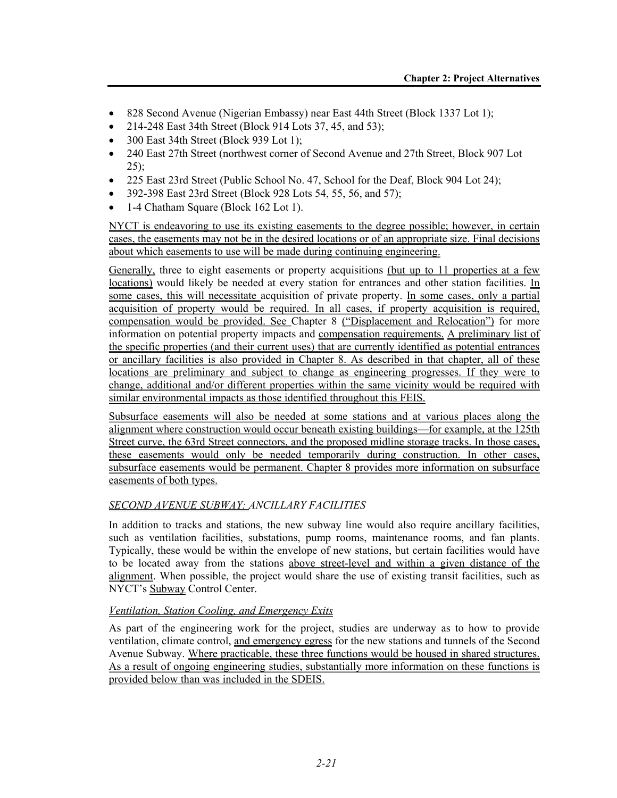- 828 Second Avenue (Nigerian Embassy) near East 44th Street (Block 1337 Lot 1);
- 214-248 East 34th Street (Block 914 Lots 37, 45, and 53);
- 300 East 34th Street (Block 939 Lot 1);
- 240 East 27th Street (northwest corner of Second Avenue and 27th Street, Block 907 Lot  $25$ ;
- 225 East 23rd Street (Public School No. 47, School for the Deaf, Block 904 Lot 24);
- 392-398 East 23rd Street (Block 928 Lots 54, 55, 56, and 57);
- 1-4 Chatham Square (Block 162 Lot 1).

NYCT is endeavoring to use its existing easements to the degree possible; however, in certain cases, the easements may not be in the desired locations or of an appropriate size. Final decisions about which easements to use will be made during continuing engineering.

Generally, three to eight easements or property acquisitions (but up to 11 properties at a few locations) would likely be needed at every station for entrances and other station facilities. In some cases, this will necessitate acquisition of private property. In some cases, only a partial acquisition of property would be required. In all cases, if property acquisition is required, compensation would be provided. See Chapter 8 ("Displacement and Relocation") for more information on potential property impacts and compensation requirements. A preliminary list of the specific properties (and their current uses) that are currently identified as potential entrances or ancillary facilities is also provided in Chapter 8. As described in that chapter, all of these locations are preliminary and subject to change as engineering progresses. If they were to change, additional and/or different properties within the same vicinity would be required with similar environmental impacts as those identified throughout this FEIS.

Subsurface easements will also be needed at some stations and at various places along the alignment where construction would occur beneath existing buildings—for example, at the 125th Street curve, the 63rd Street connectors, and the proposed midline storage tracks. In those cases, these easements would only be needed temporarily during construction. In other cases, subsurface easements would be permanent. Chapter 8 provides more information on subsurface easements of both types.

## *SECOND AVENUE SUBWAY: ANCILLARY FACILITIES*

In addition to tracks and stations, the new subway line would also require ancillary facilities, such as ventilation facilities, substations, pump rooms, maintenance rooms, and fan plants. Typically, these would be within the envelope of new stations, but certain facilities would have to be located away from the stations above street-level and within a given distance of the alignment. When possible, the project would share the use of existing transit facilities, such as NYCT's Subway Control Center.

## *Ventilation, Station Cooling, and Emergency Exits*

As part of the engineering work for the project, studies are underway as to how to provide ventilation, climate control, and emergency egress for the new stations and tunnels of the Second Avenue Subway. Where practicable, these three functions would be housed in shared structures. As a result of ongoing engineering studies, substantially more information on these functions is provided below than was included in the SDEIS.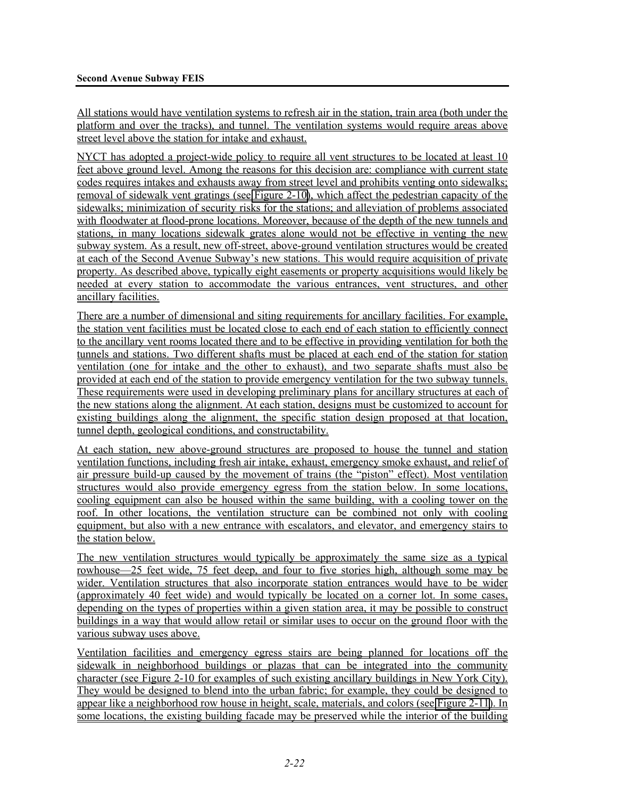All stations would have ventilation systems to refresh air in the station, train area (both under the platform and over the tracks), and tunnel. The ventilation systems would require areas above street level above the station for intake and exhaust.

NYCT has adopted a project-wide policy to require all vent structures to be located at least 10 feet above ground level. Among the reasons for this decision are: compliance with current state codes requires intakes and exhausts away from street level and prohibits venting onto sidewalks; removal of sidewalk vent gratings (see Figure 2-10), which affect the pedestrian capacity of the sidewalks; minimization of security risks for the stations; and alleviation of problems associated with floodwater at flood-prone locations. Moreover, because of the depth of the new tunnels and stations, in many locations sidewalk grates alone would not be effective in venting the new subway system. As a result, new off-street, above-ground ventilation structures would be created at each of the Second Avenue Subway's new stations. This would require acquisition of private property. As described above, typically eight easements or property acquisitions would likely be needed at every station to accommodate the various entrances, vent structures, and other ancillary facilities.

There are a number of dimensional and siting requirements for ancillary facilities. For example, the station vent facilities must be located close to each end of each station to efficiently connect to the ancillary vent rooms located there and to be effective in providing ventilation for both the tunnels and stations. Two different shafts must be placed at each end of the station for station ventilation (one for intake and the other to exhaust), and two separate shafts must also be provided at each end of the station to provide emergency ventilation for the two subway tunnels. These requirements were used in developing preliminary plans for ancillary structures at each of the new stations along the alignment. At each station, designs must be customized to account for existing buildings along the alignment, the specific station design proposed at that location, tunnel depth, geological conditions, and constructability.

At each station, new above-ground structures are proposed to house the tunnel and station ventilation functions, including fresh air intake, exhaust, emergency smoke exhaust, and relief of air pressure build-up caused by the movement of trains (the "piston" effect). Most ventilation structures would also provide emergency egress from the station below. In some locations, cooling equipment can also be housed within the same building, with a cooling tower on the roof. In other locations, the ventilation structure can be combined not only with cooling equipment, but also with a new entrance with escalators, and elevator, and emergency stairs to the station below.

The new ventilation structures would typically be approximately the same size as a typical rowhouse—25 feet wide, 75 feet deep, and four to five stories high, although some may be wider. Ventilation structures that also incorporate station entrances would have to be wider (approximately 40 feet wide) and would typically be located on a corner lot. In some cases, depending on the types of properties within a given station area, it may be possible to construct buildings in a way that would allow retail or similar uses to occur on the ground floor with the various subway uses above.

Ventilation facilities and emergency egress stairs are being planned for locations off the sidewalk in neighborhood buildings or plazas that can be integrated into the community character (see Figure 2-10 for examples of such existing ancillary buildings in New York City). They would be designed to blend into the urban fabric; for example, they could be designed to appear like a neighborhood row house in height, scale, materials, and colors (see Figure 2-11). In some locations, the existing building facade may be preserved while the interior of the building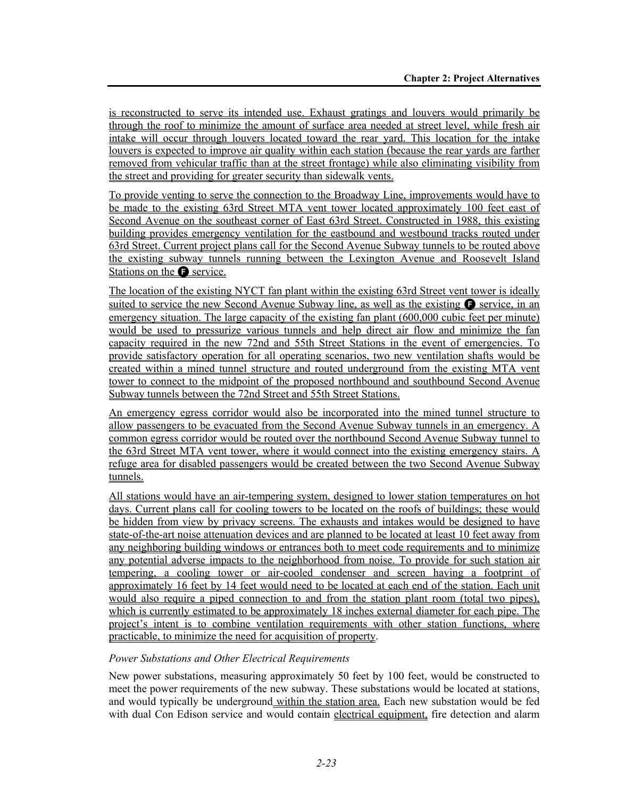is reconstructed to serve its intended use. Exhaust gratings and louvers would primarily be through the roof to minimize the amount of surface area needed at street level, while fresh air intake will occur through louvers located toward the rear yard. This location for the intake louvers is expected to improve air quality within each station (because the rear yards are farther removed from vehicular traffic than at the street frontage) while also eliminating visibility from the street and providing for greater security than sidewalk vents.

To provide venting to serve the connection to the Broadway Line, improvements would have to be made to the existing 63rd Street MTA vent tower located approximately 100 feet east of Second Avenue on the southeast corner of East 63rd Street. Constructed in 1988, this existing building provides emergency ventilation for the eastbound and westbound tracks routed under 63rd Street. Current project plans call for the Second Avenue Subway tunnels to be routed above the existing subway tunnels running between the Lexington Avenue and Roosevelt Island Stations on the  $\bullet$  service.

The location of the existing NYCT fan plant within the existing 63rd Street vent tower is ideally suited to service the new Second Avenue Subway line, as well as the existing  $\bullet$  service, in an emergency situation. The large capacity of the existing fan plant (600,000 cubic feet per minute) would be used to pressurize various tunnels and help direct air flow and minimize the fan capacity required in the new 72nd and 55th Street Stations in the event of emergencies. To provide satisfactory operation for all operating scenarios, two new ventilation shafts would be created within a mined tunnel structure and routed underground from the existing MTA vent tower to connect to the midpoint of the proposed northbound and southbound Second Avenue Subway tunnels between the 72nd Street and 55th Street Stations.

An emergency egress corridor would also be incorporated into the mined tunnel structure to allow passengers to be evacuated from the Second Avenue Subway tunnels in an emergency. A common egress corridor would be routed over the northbound Second Avenue Subway tunnel to the 63rd Street MTA vent tower, where it would connect into the existing emergency stairs. A refuge area for disabled passengers would be created between the two Second Avenue Subway tunnels.

All stations would have an air-tempering system, designed to lower station temperatures on hot days. Current plans call for cooling towers to be located on the roofs of buildings; these would be hidden from view by privacy screens. The exhausts and intakes would be designed to have state-of-the-art noise attenuation devices and are planned to be located at least 10 feet away from any neighboring building windows or entrances both to meet code requirements and to minimize any potential adverse impacts to the neighborhood from noise. To provide for such station air tempering, a cooling tower or air-cooled condenser and screen having a footprint of approximately 16 feet by 14 feet would need to be located at each end of the station. Each unit would also require a piped connection to and from the station plant room (total two pipes), which is currently estimated to be approximately 18 inches external diameter for each pipe. The project's intent is to combine ventilation requirements with other station functions, where practicable, to minimize the need for acquisition of property.

#### *Power Substations and Other Electrical Requirements*

New power substations, measuring approximately 50 feet by 100 feet, would be constructed to meet the power requirements of the new subway. These substations would be located at stations, and would typically be underground within the station area. Each new substation would be fed with dual Con Edison service and would contain electrical equipment, fire detection and alarm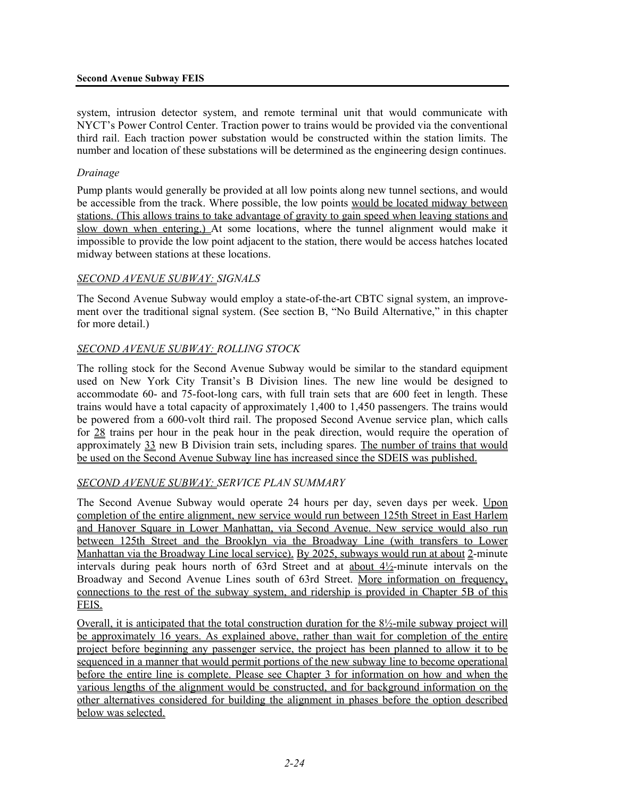system, intrusion detector system, and remote terminal unit that would communicate with NYCT's Power Control Center. Traction power to trains would be provided via the conventional third rail. Each traction power substation would be constructed within the station limits. The number and location of these substations will be determined as the engineering design continues.

#### *Drainage*

Pump plants would generally be provided at all low points along new tunnel sections, and would be accessible from the track. Where possible, the low points would be located midway between stations. (This allows trains to take advantage of gravity to gain speed when leaving stations and slow down when entering.) At some locations, where the tunnel alignment would make it impossible to provide the low point adjacent to the station, there would be access hatches located midway between stations at these locations.

#### *SECOND AVENUE SUBWAY: SIGNALS*

The Second Avenue Subway would employ a state-of-the-art CBTC signal system, an improvement over the traditional signal system. (See section B, "No Build Alternative," in this chapter for more detail.)

#### *SECOND AVENUE SUBWAY: ROLLING STOCK*

The rolling stock for the Second Avenue Subway would be similar to the standard equipment used on New York City Transit's B Division lines. The new line would be designed to accommodate 60- and 75-foot-long cars, with full train sets that are 600 feet in length. These trains would have a total capacity of approximately 1,400 to 1,450 passengers. The trains would be powered from a 600-volt third rail. The proposed Second Avenue service plan, which calls for 28 trains per hour in the peak hour in the peak direction, would require the operation of approximately 33 new B Division train sets, including spares. The number of trains that would be used on the Second Avenue Subway line has increased since the SDEIS was published.

## *SECOND AVENUE SUBWAY: SERVICE PLAN SUMMARY*

The Second Avenue Subway would operate 24 hours per day, seven days per week. Upon completion of the entire alignment, new service would run between 125th Street in East Harlem and Hanover Square in Lower Manhattan, via Second Avenue. New service would also run between 125th Street and the Brooklyn via the Broadway Line (with transfers to Lower Manhattan via the Broadway Line local service). By 2025, subways would run at about 2-minute intervals during peak hours north of 63rd Street and at about 4½-minute intervals on the Broadway and Second Avenue Lines south of 63rd Street. More information on frequency, connections to the rest of the subway system, and ridership is provided in Chapter 5B of this FEIS.

Overall, it is anticipated that the total construction duration for the 8½-mile subway project will be approximately 16 years. As explained above, rather than wait for completion of the entire project before beginning any passenger service, the project has been planned to allow it to be sequenced in a manner that would permit portions of the new subway line to become operational before the entire line is complete. Please see Chapter 3 for information on how and when the various lengths of the alignment would be constructed, and for background information on the other alternatives considered for building the alignment in phases before the option described below was selected.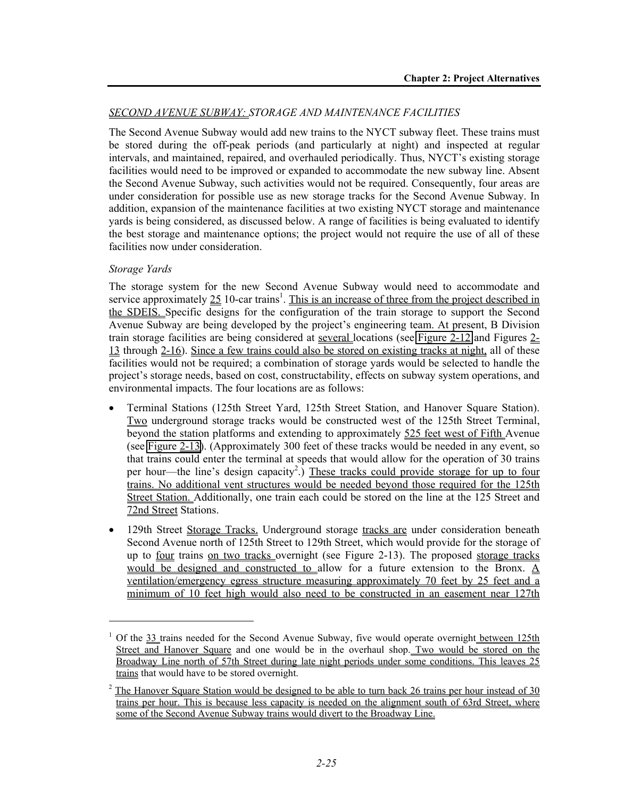## *SECOND AVENUE SUBWAY: STORAGE AND MAINTENANCE FACILITIES*

The Second Avenue Subway would add new trains to the NYCT subway fleet. These trains must be stored during the off-peak periods (and particularly at night) and inspected at regular intervals, and maintained, repaired, and overhauled periodically. Thus, NYCT's existing storage facilities would need to be improved or expanded to accommodate the new subway line. Absent the Second Avenue Subway, such activities would not be required. Consequently, four areas are under consideration for possible use as new storage tracks for the Second Avenue Subway. In addition, expansion of the maintenance facilities at two existing NYCT storage and maintenance yards is being considered, as discussed below. A range of facilities is being evaluated to identify the best storage and maintenance options; the project would not require the use of all of these facilities now under consideration.

#### *Storage Yards*

l

The storage system for the new Second Avenue Subway would need to accommodate and service approximately  $25 \text{ 10-car trains}^1$ . This is an increase of three from the project described in the SDEIS. Specific designs for the configuration of the train storage to support the Second Avenue Subway are being developed by the project's engineering team. At present, B Division train storage facilities are being considered at several locations (see Figure 2-12 and Figures 2- 13 through 2-16). Since a few trains could also be stored on existing tracks at night, all of these facilities would not be required; a combination of storage yards would be selected to handle the project's storage needs, based on cost, constructability, effects on subway system operations, and environmental impacts. The four locations are as follows:

- Terminal Stations (125th Street Yard, 125th Street Station, and Hanover Square Station). Two underground storage tracks would be constructed west of the 125th Street Terminal, beyond the station platforms and extending to approximately 525 feet west of Fifth Avenue (see Figure 2-13). (Approximately 300 feet of these tracks would be needed in any event, so that trains could enter the terminal at speeds that would allow for the operation of 30 trains per hour—the line's design capacity<sup>2</sup>.) These tracks could provide storage for up to four trains. No additional vent structures would be needed beyond those required for the 125th Street Station. Additionally, one train each could be stored on the line at the 125 Street and 72nd Street Stations.
- 129th Street Storage Tracks. Underground storage tracks are under consideration beneath Second Avenue north of 125th Street to 129th Street, which would provide for the storage of up to four trains on two tracks overnight (see Figure 2-13). The proposed storage tracks would be designed and constructed to allow for a future extension to the Bronx. A ventilation/emergency egress structure measuring approximately 70 feet by 25 feet and a minimum of 10 feet high would also need to be constructed in an easement near 127th

<sup>1</sup> Of the 33 trains needed for the Second Avenue Subway, five would operate overnight between 125th Street and Hanover Square and one would be in the overhaul shop. Two would be stored on the Broadway Line north of 57th Street during late night periods under some conditions. This leaves 25 trains that would have to be stored overnight.

 $2^2$  The Hanover Square Station would be designed to be able to turn back 26 trains per hour instead of 30 trains per hour. This is because less capacity is needed on the alignment south of 63rd Street, where some of the Second Avenue Subway trains would divert to the Broadway Line.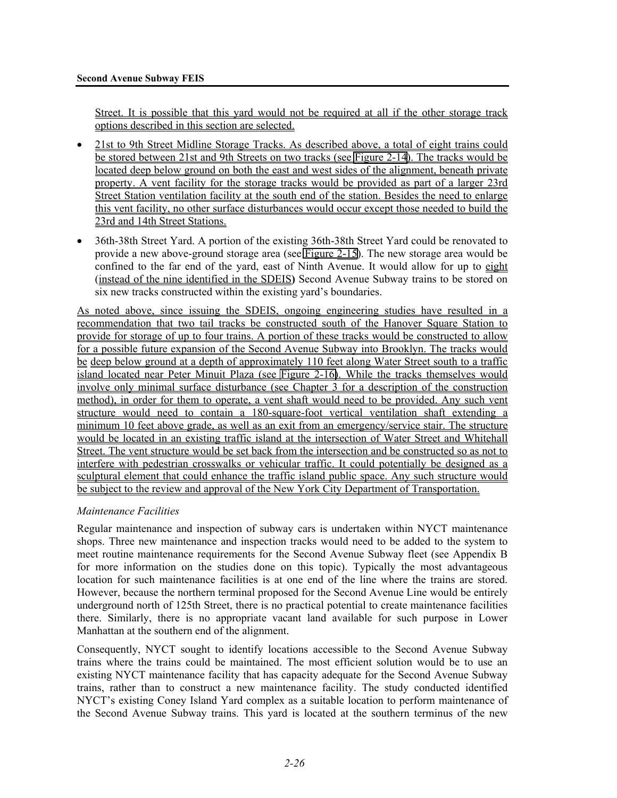Street. It is possible that this yard would not be required at all if the other storage track options described in this section are selected.

- 21st to 9th Street Midline Storage Tracks. As described above, a total of eight trains could be stored between 21st and 9th Streets on two tracks (see Figure 2-14). The tracks would be located deep below ground on both the east and west sides of the alignment, beneath private property. A vent facility for the storage tracks would be provided as part of a larger 23rd Street Station ventilation facility at the south end of the station. Besides the need to enlarge this vent facility, no other surface disturbances would occur except those needed to build the 23rd and 14th Street Stations.
- 36th-38th Street Yard. A portion of the existing 36th-38th Street Yard could be renovated to provide a new above-ground storage area (see Figure 2-15). The new storage area would be confined to the far end of the yard, east of Ninth Avenue. It would allow for up to eight (instead of the nine identified in the SDEIS**)** Second Avenue Subway trains to be stored on six new tracks constructed within the existing yard's boundaries.

As noted above, since issuing the SDEIS, ongoing engineering studies have resulted in a recommendation that two tail tracks be constructed south of the Hanover Square Station to provide for storage of up to four trains. A portion of these tracks would be constructed to allow for a possible future expansion of the Second Avenue Subway into Brooklyn. The tracks would be deep below ground at a depth of approximately 110 feet along Water Street south to a traffic island located near Peter Minuit Plaza (see Figure 2-16). While the tracks themselves would involve only minimal surface disturbance (see Chapter 3 for a description of the construction method), in order for them to operate, a vent shaft would need to be provided. Any such vent structure would need to contain a 180-square-foot vertical ventilation shaft extending a minimum 10 feet above grade, as well as an exit from an emergency/service stair. The structure would be located in an existing traffic island at the intersection of Water Street and Whitehall Street. The vent structure would be set back from the intersection and be constructed so as not to interfere with pedestrian crosswalks or vehicular traffic. It could potentially be designed as a sculptural element that could enhance the traffic island public space. Any such structure would be subject to the review and approval of the New York City Department of Transportation.

## *Maintenance Facilities*

Regular maintenance and inspection of subway cars is undertaken within NYCT maintenance shops. Three new maintenance and inspection tracks would need to be added to the system to meet routine maintenance requirements for the Second Avenue Subway fleet (see Appendix B for more information on the studies done on this topic). Typically the most advantageous location for such maintenance facilities is at one end of the line where the trains are stored. However, because the northern terminal proposed for the Second Avenue Line would be entirely underground north of 125th Street, there is no practical potential to create maintenance facilities there. Similarly, there is no appropriate vacant land available for such purpose in Lower Manhattan at the southern end of the alignment.

Consequently, NYCT sought to identify locations accessible to the Second Avenue Subway trains where the trains could be maintained. The most efficient solution would be to use an existing NYCT maintenance facility that has capacity adequate for the Second Avenue Subway trains, rather than to construct a new maintenance facility. The study conducted identified NYCT's existing Coney Island Yard complex as a suitable location to perform maintenance of the Second Avenue Subway trains. This yard is located at the southern terminus of the new